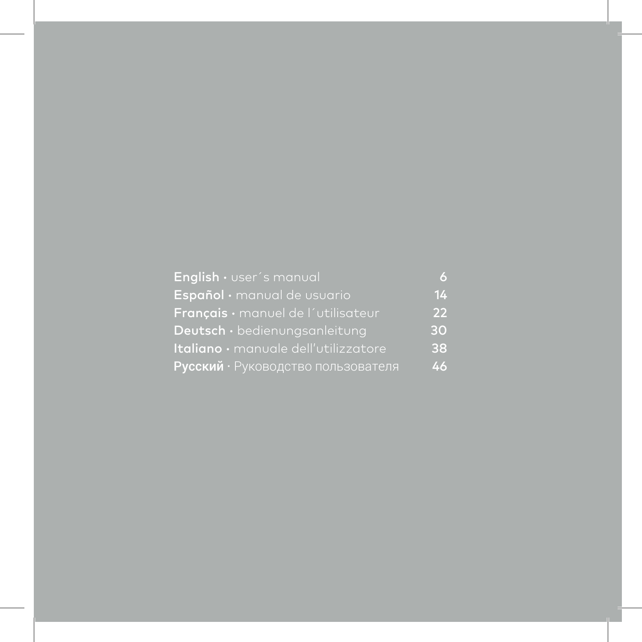| English · user's manual                  | Ъ   |
|------------------------------------------|-----|
| Español · manual de usuario              | 14. |
| Français $\cdot$ manuel de l'utilisateur | 22  |
| Deutsch $\cdot$ bedienungsanleitung      | 30  |
| Italiano · manuale dell'utilizzatore     | 38  |
| Русский • Руководство пользователя       | 46  |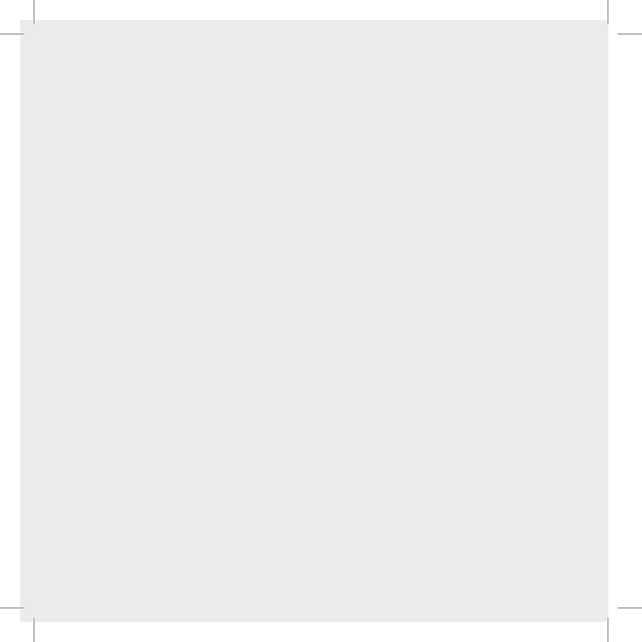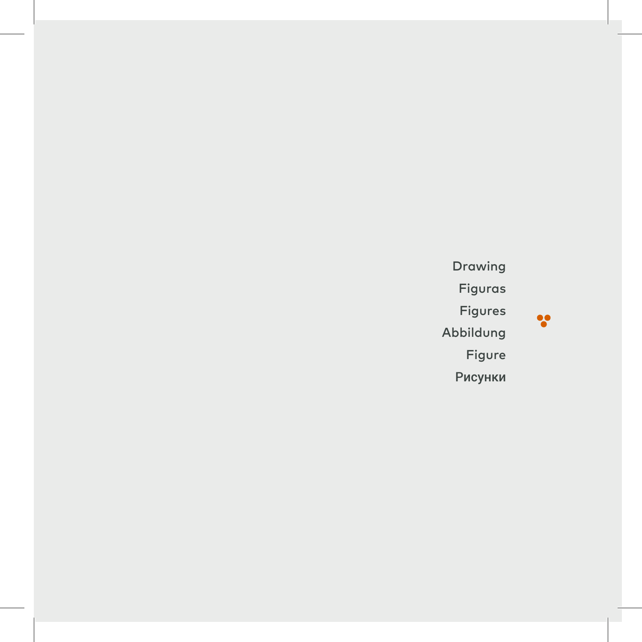Drawing Figuras Figures  $\bullet$ Abbildung Figure Рисунки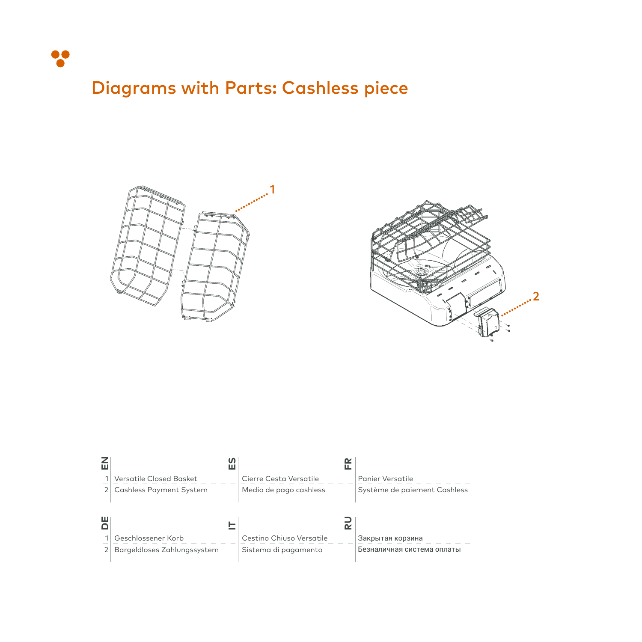# Diagrams with Parts: Cashless piece





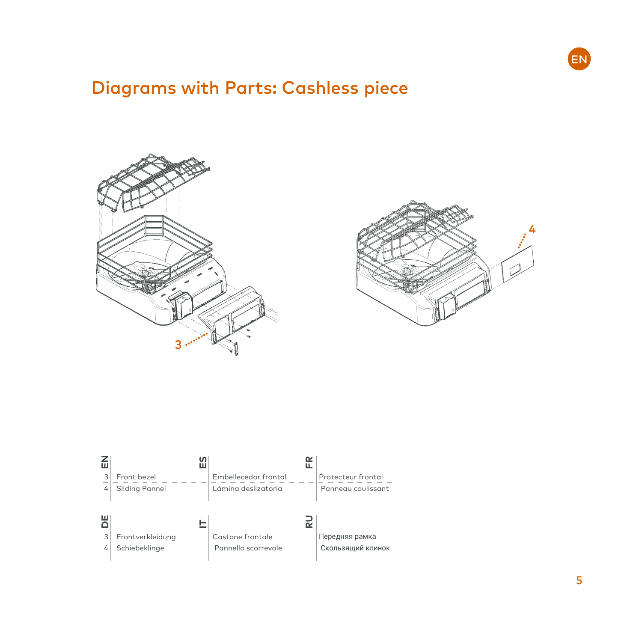# Diagrams with Parts: Cashless piece







5

EN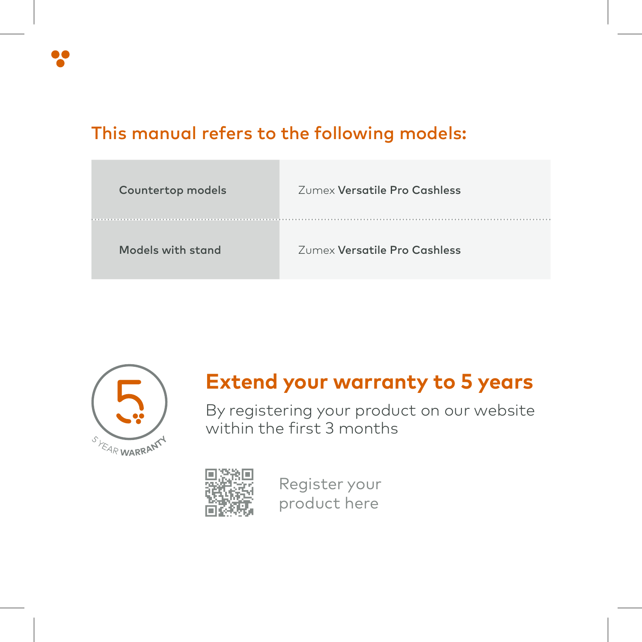# This manual refers to the following models:

| Countertop models | Zumex Versatile Pro Cashless |
|-------------------|------------------------------|
| Models with stand | Zumex Versatile Pro Cashless |



# **Extend your warranty to 5 years**

By registering your product on our website within the first 3 months



Register your product here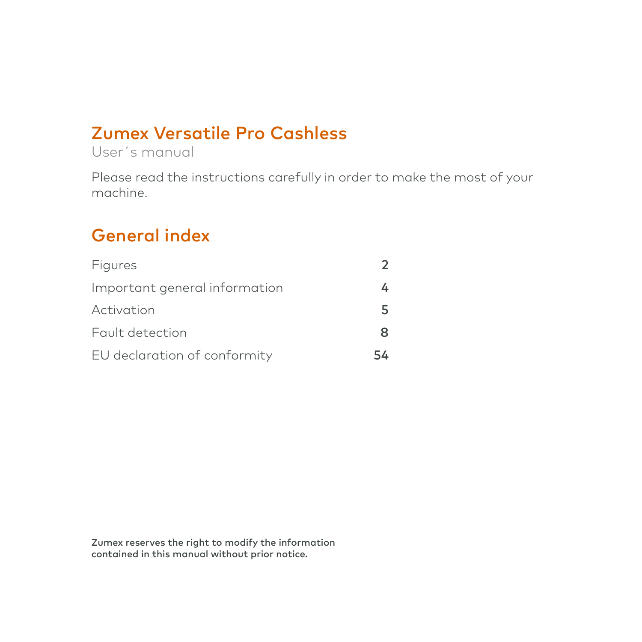# Zumex Versatile Pro Cashless

User´s manual

Please read the instructions carefully in order to make the most of your machine.

# General index

| Figures                       |   |
|-------------------------------|---|
| Important general information | 4 |
| Activation                    |   |
| Fault detection               |   |
| EU declaration of conformity  |   |

Zumex reserves the right to modify the information contained in this manual without prior notice.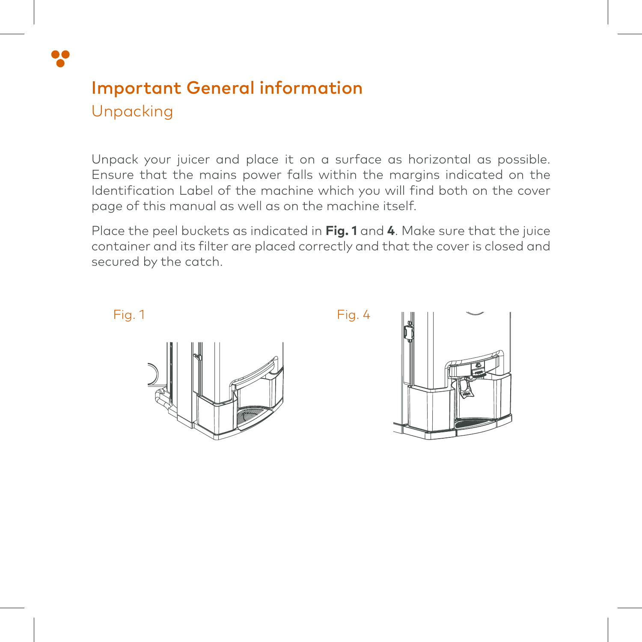# Important General information Unpacking

Unpack your juicer and place it on a surface as horizontal as possible. Ensure that the mains power falls within the margins indicated on the Identification Label of the machine which you will find both on the cover page of this manual as well as on the machine itself.

Place the peel buckets as indicated in **Fig. 1** and **4**. Make sure that the juice container and its filter are placed correctly and that the cover is closed and secured by the catch.





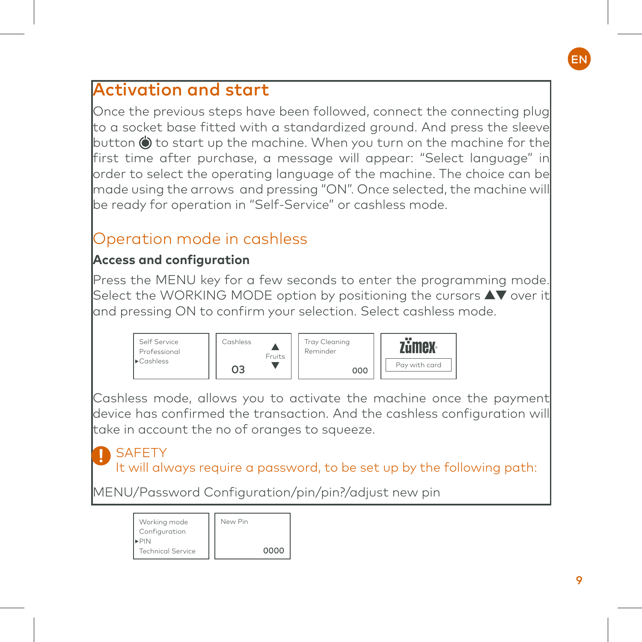## Activation and start

 $\vert$ Once the previous steps have been followed, connect the connecting plug $\vert$ to a socket base fitted with a standardized ground. And press the sleeve button  $\bigcirc$  to start up the machine. When you turn on the machine for the first time after purchase, a message will appear: "Select language" in order to select the operating language of the machine. The choice can be made using the arrows and pressing "ON". Once selected, the machine will be ready for operation in "Self-Service" or cashless mode.

## Operation mode in cashless

#### **Access and configuration**

Press the MENU key for a few seconds to enter the programming mode. Select the WORKING MODE option by positioning the cursors  $\blacktriangle\blacktriangledown$  over it and pressing ON to confirm your selection. Select cashless mode.



Cashless mode, allows you to activate the machine once the payment device has confirmed the transaction. And the cashless configuration will take in account the no of oranges to squeeze.

**B** SAFETY It will always require a password, to be set up by the following path:

MENU/Password Configuration/pin/pin?/adjust new pin

| Working mode<br>Configuration     | New Pin |
|-----------------------------------|---------|
| ► PIN<br><b>Technical Service</b> | 0000    |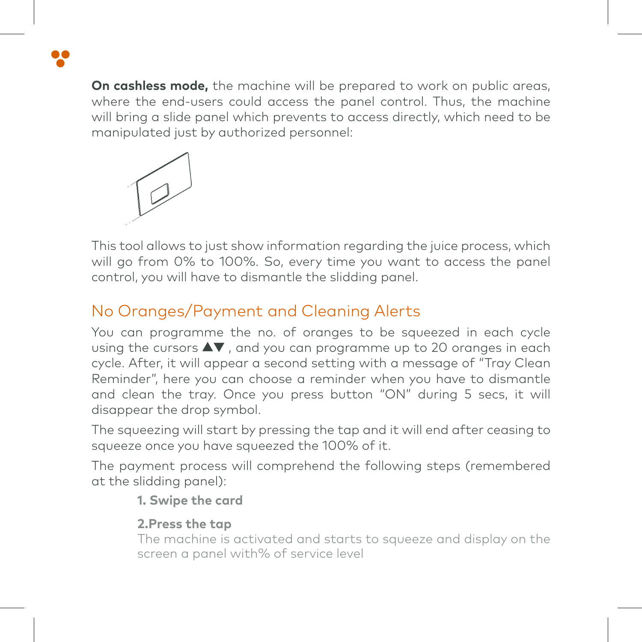**On cashless mode,** the machine will be prepared to work on public greas, where the end-users could access the panel control. Thus, the machine will bring a slide panel which prevents to access directly, which need to be manipulated just by authorized personnel:



This tool allows to just show information regarding the juice process, which will go from 0% to 100%. So, every time you want to access the panel control, you will have to dismantle the slidding panel.

## No Oranges/Payment and Cleaning Alerts

You can programme the no. of oranges to be squeezed in each cycle using the cursors  $\blacktriangle$ , and you can programme up to 20 oranges in each cycle. After, it will appear a second setting with a message of "Tray Clean Reminder", here you can choose a reminder when you have to dismantle and clean the tray. Once you press button "ON" during 5 secs, it will disappear the drop symbol.

The squeezing will start by pressing the tap and it will end after ceasing to squeeze once you have squeezed the 100% of it.

The payment process will comprehend the following steps (remembered at the slidding panel):

**1. Swipe the card**

#### **2.Press the tap**

The machine is activated and starts to squeeze and display on the screen a panel with% of service level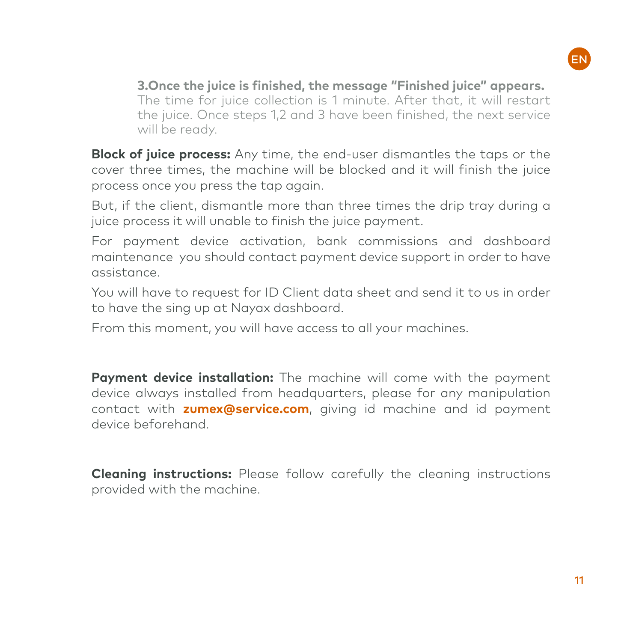**3.Once the juice is finished, the message "Finished juice" appears.** The time for juice collection is 1 minute. After that, it will restart the juice. Once steps 1,2 and 3 have been finished, the next service will be ready.

**Block of juice process:** Any time, the end-user dismantles the taps or the cover three times, the machine will be blocked and it will finish the juice process once you press the tap again.

But, if the client, dismantle more than three times the drip tray during a juice process it will unable to finish the juice payment.

For payment device activation, bank commissions and dashboard maintenance you should contact payment device support in order to have assistance.

You will have to request for ID Client data sheet and send it to us in order to have the sing up at Nayax dashboard.

From this moment, you will have access to all your machines.

**Payment device installation:** The machine will come with the payment device always installed from headquarters, please for any manipulation contact with **zumex@service.com**, giving id machine and id payment device beforehand.

**Cleaning instructions:** Please follow carefully the cleaning instructions provided with the machine.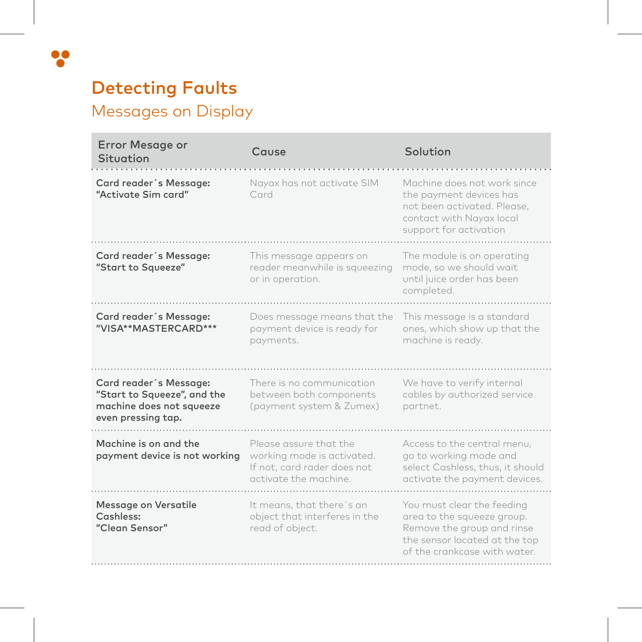# Detecting Faults

# Messages on Display

| Error Mesage or<br>Situation                                                                            | Cause                                                                                                        | Solution                                                                                                                                                |
|---------------------------------------------------------------------------------------------------------|--------------------------------------------------------------------------------------------------------------|---------------------------------------------------------------------------------------------------------------------------------------------------------|
| Card reader's Message:<br>"Activate Sim card"                                                           | Nayax has not activate SIM<br>Card                                                                           | Machine does not work since<br>the payment devices has<br>not been activated. Please,<br>contact with Nayax local<br>support for activation             |
| Card reader's Message:<br>"Start to Squeeze"                                                            | This message appears on<br>reader meanwhile is squeezing<br>or in operation.                                 | The module is on operating<br>mode, so we should wait<br>until juice order has been<br>completed.                                                       |
| Card reader's Message:<br>"VISA**MASTERCARD***                                                          | Does message means that the<br>payment device is ready for<br>payments.                                      | This message is a standard<br>ones, which show up that the<br>machine is ready.                                                                         |
| Card reader's Message:<br>"Start to Squeeze", and the<br>machine does not squeeze<br>even pressing tap. | There is no communication<br>between both components<br>(payment system & Zumex)                             | We have to verify internal<br>cables by authorized service<br>partnet.                                                                                  |
| Machine is on and the<br>payment device is not working                                                  | Please assure that the<br>working mode is activated.<br>If not, card rader does not<br>activate the machine. | Access to the central menu,<br>go to working mode and<br>select Cashless, thus, it should<br>activate the payment devices.                              |
| Message on Versatile<br>Cashless:<br>"Clean Sensor"                                                     | It means, that there's an<br>object that interferes in the<br>read of object.                                | You must clear the feeding<br>area to the squeeze group.<br>Remove the group and rinse<br>the sensor located at the top<br>of the crankcase with water. |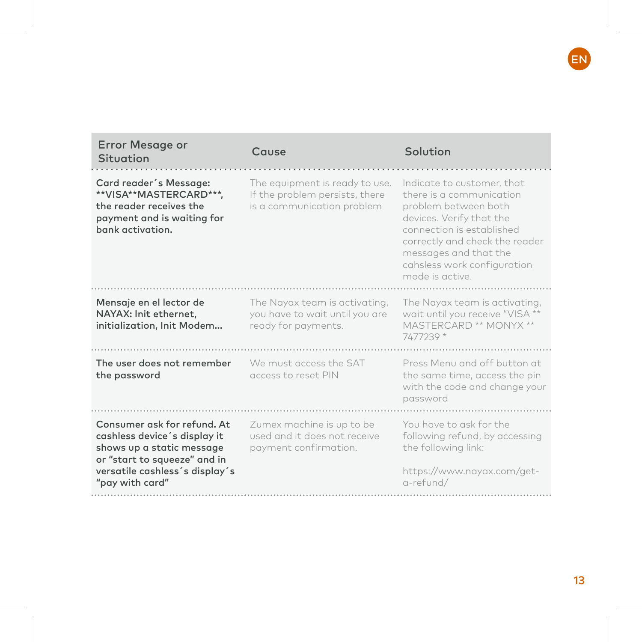| Error Mesage or<br>Situation                                                                                                                                                  | Cause                                                                                          | Solution                                                                                                                                                                                                                                             |
|-------------------------------------------------------------------------------------------------------------------------------------------------------------------------------|------------------------------------------------------------------------------------------------|------------------------------------------------------------------------------------------------------------------------------------------------------------------------------------------------------------------------------------------------------|
| Card reader's Message:<br>**VISA**MASTERCARD***,<br>the reader receives the<br>payment and is waiting for<br>bank activation.                                                 | The equipment is ready to use.<br>If the problem persists, there<br>is a communication problem | Indicate to customer, that<br>there is a communication<br>problem between both<br>devices. Verify that the<br>connection is established<br>correctly and check the reader<br>messages and that the<br>cahsless work configuration<br>mode is active. |
| Mensaje en el lector de<br>NAYAX: Init ethernet.<br>initialization, Init Modem                                                                                                | The Nayax team is activating,<br>you have to wait until you are<br>ready for payments.         | The Nayax team is activating,<br>wait until you receive "VISA **<br>MASTERCARD ** MONYX **<br>7477239 *                                                                                                                                              |
| The user does not remember<br>the password                                                                                                                                    | We must access the SAT<br>access to reset PIN                                                  | Press Menu and off button at<br>the same time, access the pin<br>with the code and change your<br>password                                                                                                                                           |
| Consumer ask for refund. At<br>cashless device's display it<br>shows up a static message<br>or "start to squeeze" and in<br>versatile cashless's display's<br>"pay with card" | Zumex machine is up to be<br>used and it does not receive<br>payment confirmation.             | You have to ask for the<br>following refund, by accessing<br>the following link:<br>https://www.nayax.com/get-<br>a-refund/                                                                                                                          |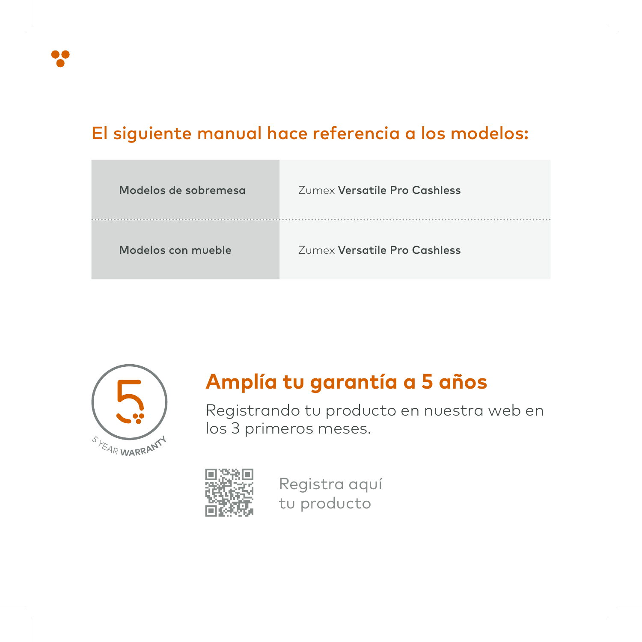# El siguiente manual hace referencia a los modelos:

| Modelos de sobremesa | Zumex Versatile Pro Cashless |
|----------------------|------------------------------|
| Modelos con mueble   | Zumex Versatile Pro Cashless |



# **Amplía tu garantía a 5 años**

Registrando tu producto en nuestra web en los 3 primeros meses.



Registra aquí tu producto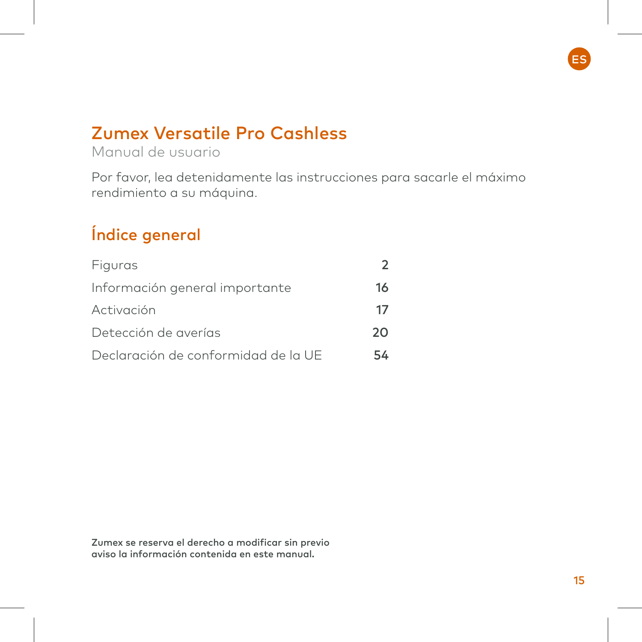# Zumex Versatile Pro Cashless

Manual de usuario

Por favor, lea detenidamente las instrucciones para sacarle el máximo rendimiento a su máquina.

## Índice general

| Figuras                             |    |
|-------------------------------------|----|
| Información general importante      | 16 |
| Activación                          | 17 |
| Detección de averías                | 20 |
| Declaración de conformidad de la UE | 54 |

Zumex se reserva el derecho a modificar sin previo aviso la información contenida en este manual.

15

ES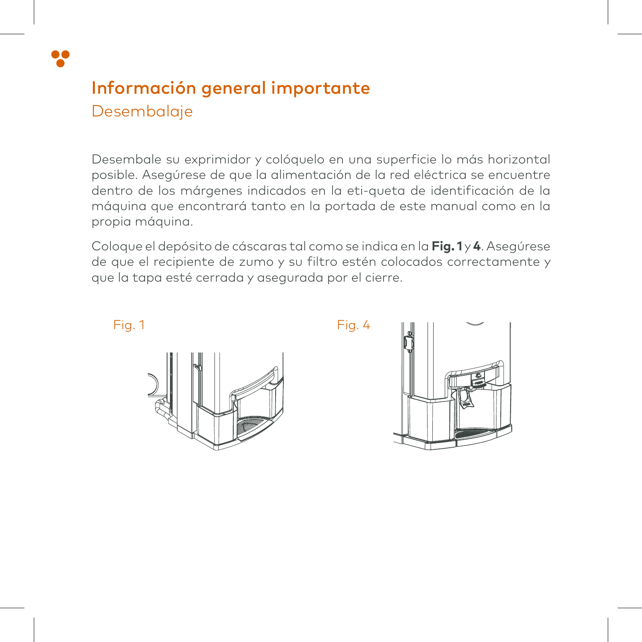# Información general importante Desembalaje

Desembale su exprimidor y colóquelo en una superficie lo más horizontal posible. Asegúrese de que la alimentación de la red eléctrica se encuentre dentro de los márgenes indicados en la eti-queta de identificación de la máquina que encontrará tanto en la portada de este manual como en la propia máquina.

Coloque el depósito de cáscaras tal como se indica en la **Fig. 1** y **4**. Asegúrese de que el recipiente de zumo y su filtro estén colocados correctamente y que la tapa esté cerrada y asegurada por el cierre.



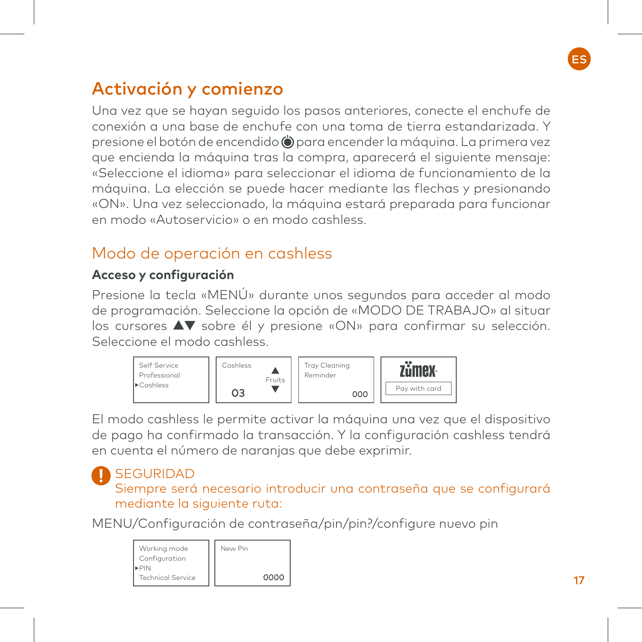# Activación y comienzo

Una vez que se hayan seguido los pasos anteriores, conecte el enchufe de conexión a una base de enchufe con una toma de tierra estandarizada. Y presione el botón de encendido para encender la máquina. La primera vez que encienda la máquina tras la compra, aparecerá el siguiente mensaje: «Seleccione el idioma» para seleccionar el idioma de funcionamiento de la máquina. La elección se puede hacer mediante las flechas y presionando «ON». Una vez seleccionado, la máquina estará preparada para funcionar en modo «Autoservicio» o en modo cashless.

## Modo de operación en cashless

#### **Acceso y configuración**

Presione la tecla «MENÚ» durante unos segundos para acceder al modo de programación. Seleccione la opción de «MODO DE TRABAJO» al situar  $\log$  cursores  $\blacktriangle\blacktriangledown$  sobre él y presione «ON» para confirmar su selección. Seleccione el modo cashless.



El modo cashless le permite activar la máquina una vez que el dispositivo de pago ha confirmado la transacción. Y la configuración cashless tendrá en cuenta el número de naranjas que debe exprimir.

# SEGURIDAD

Siempre será necesario introducir una contraseña que se configurará mediante la siguiente ruta:

MENU/Configuración de contraseña/pin/pin?/configure nuevo pin

| Working mode<br>Configuration   | New Pin |
|---------------------------------|---------|
| PIN<br><b>Technical Service</b> | 0000    |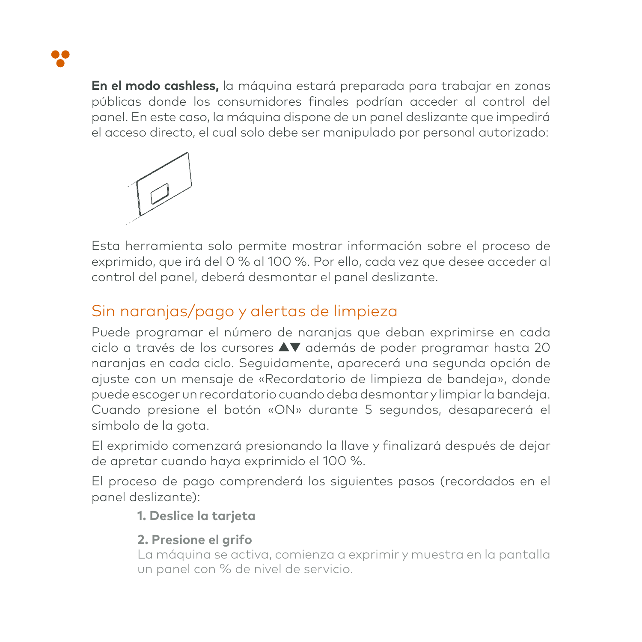**En el modo cashless,** la máquina estará preparada para trabajar en zonas públicas donde los consumidores finales podrían acceder al control del panel. En este caso, la máquina dispone de un panel deslizante que impedirá el acceso directo, el cual solo debe ser manipulado por personal autorizado:



Esta herramienta solo permite mostrar información sobre el proceso de exprimido, que irá del 0 % al 100 %. Por ello, cada vez que desee acceder al control del panel, deberá desmontar el panel deslizante.

## Sin naranjas/pago y alertas de limpieza

Puede programar el número de naranjas que deban exprimirse en cada ciclo a través de los cursores  $\triangle\blacktriangledown$  además de poder programar hasta 20 naranjas en cada ciclo. Seguidamente, aparecerá una segunda opción de ajuste con un mensaje de «Recordatorio de limpieza de bandeja», donde puede escoger un recordatorio cuando deba desmontar y limpiar la bandeja. Cuando presione el botón «ON» durante 5 segundos, desaparecerá el símbolo de la gota.

El exprimido comenzará presionando la llave y finalizará después de dejar de apretar cuando haya exprimido el 100 %.

El proceso de pago comprenderá los siguientes pasos (recordados en el panel deslizante):

#### **1. Deslice la tarjeta**

#### **2. Presione el grifo**

La máquina se activa, comienza a exprimir y muestra en la pantalla un panel con % de nivel de servicio.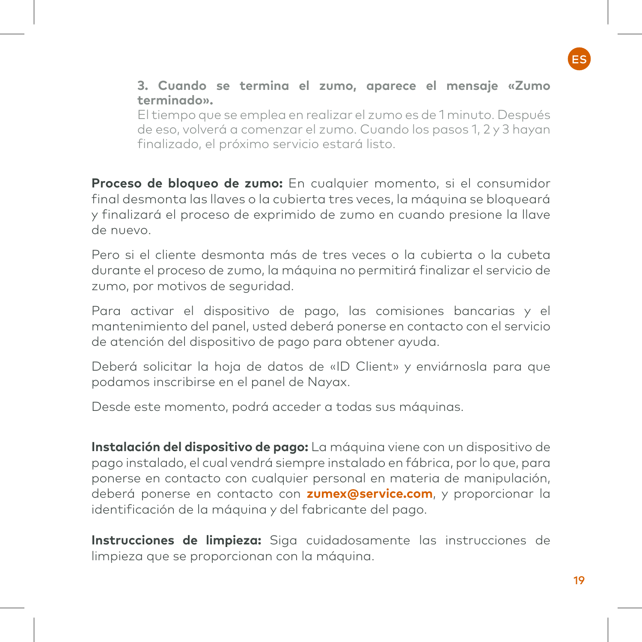#### **3. Cuando se termina el zumo, aparece el mensaje «Zumo terminado».**

El tiempo que se emplea en realizar el zumo es de 1 minuto. Después de eso, volverá a comenzar el zumo. Cuando los pasos 1, 2 y 3 hayan finalizado, el próximo servicio estará listo.

**Proceso de bloqueo de zumo:** En cualquier momento, si el consumidor final desmonta las llaves o la cubierta tres veces, la máquina se bloqueará y finalizará el proceso de exprimido de zumo en cuando presione la llave de nuevo.

Pero si el cliente desmonta más de tres veces o la cubierta o la cubeta durante el proceso de zumo, la máquina no permitirá finalizar el servicio de zumo, por motivos de seguridad.

Para activar el dispositivo de pago, las comisiones bancarias y el mantenimiento del panel, usted deberá ponerse en contacto con el servicio de atención del dispositivo de pago para obtener ayuda.

Deberá solicitar la hoja de datos de «ID Client» y enviárnosla para que podamos inscribirse en el panel de Nayax.

Desde este momento, podrá acceder a todas sus máquinas.

**Instalación del dispositivo de pago:** La máquina viene con un dispositivo de pago instalado, el cual vendrá siempre instalado en fábrica, por lo que, para ponerse en contacto con cualquier personal en materia de manipulación, deberá ponerse en contacto con **zumex@service.com**, y proporcionar la identificación de la máquina y del fabricante del pago.

**Instrucciones de limpieza:** Siga cuidadosamente las instrucciones de limpieza que se proporcionan con la máquina.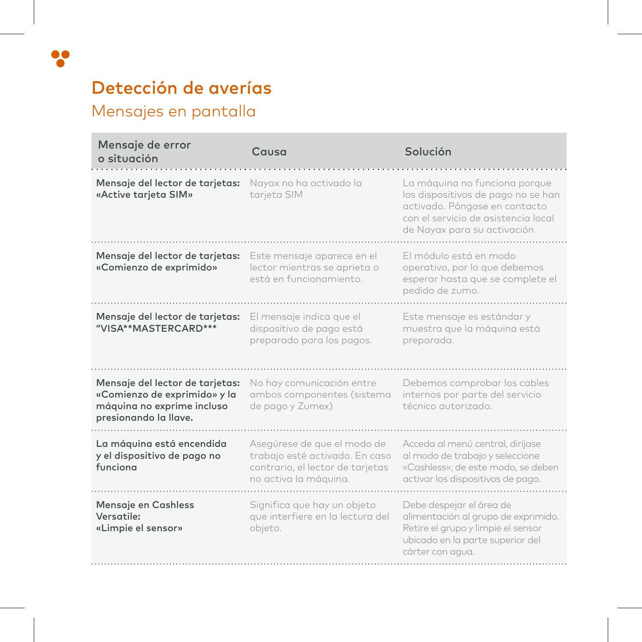# Detección de averías

## Mensajes en pantalla

| Mensaje de error<br>o situación                                                                                        | Causa                                                                                                                      | Solución                                                                                                                                                                   |
|------------------------------------------------------------------------------------------------------------------------|----------------------------------------------------------------------------------------------------------------------------|----------------------------------------------------------------------------------------------------------------------------------------------------------------------------|
| Mensaje del lector de tarjetas:<br>«Active tarjeta SIM»                                                                | Nayax no ha activado la<br>tarjeta SIM                                                                                     | La máquina no funciona porque<br>los dispositivos de pago no se han<br>activado. Póngase en contacto<br>con el servicio de asistencia local<br>de Nayax para su activación |
| Mensaje del lector de tarjetas:<br>«Comienzo de exprimido»                                                             | Este mensaje aparece en el<br>lector mientras se aprieta o<br>está en funcionamiento.                                      | El módulo está en modo<br>operativo, por lo que debemos<br>esperar hasta que se complete el<br>pedido de zumo.                                                             |
| Mensaje del lector de tarjetas:<br>"VISA**MASTERCARD***                                                                | El mensaje indica que el<br>dispositivo de pago está<br>preparado para los pagos.                                          | Este mensaje es estándar y<br>muestra que la máquina está<br>preparada.                                                                                                    |
| Mensaje del lector de tarjetas:<br>«Comienzo de exprimido» y la<br>máquina no exprime incluso<br>presionando la llave. | No hay comunicación entre<br>ambos componentes (sistema<br>de pago y Zumex)                                                | Debemos comprobar los cables<br>internos por parte del servicio<br>técnico autorizado.                                                                                     |
| La máquina está encendida<br>y el dispositivo de pago no<br>funciona                                                   | Asegúrese de que el modo de<br>trabajo esté activado. En caso<br>contrario, el lector de tarjetas<br>no activa la máquina. | Acceda al menú central, diríjase<br>al modo de trabajo y seleccione<br>«Cashless»; de este modo, se deben<br>activar los dispositivos de pago.                             |
| Mensaje en Cashless<br>Versatile:<br>«Limpie el sensor»                                                                | Significa que hay un objeto<br>que interfiere en la lectura del<br>objeto.                                                 | Debe despejar el área de<br>alimentación al grupo de exprimido.<br>Retire el grupo y limpie el sensor<br>ubicado en la parte superior del<br>cárter con aqua.              |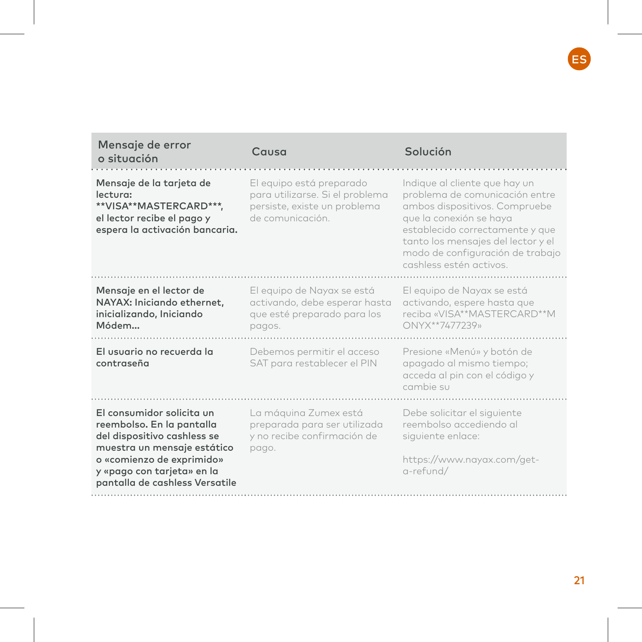| Mensaje de error<br>o situación                                                                                                                                                                                   | Causa                                                                                                           | Solución                                                                                                                                                                                                                                                            |
|-------------------------------------------------------------------------------------------------------------------------------------------------------------------------------------------------------------------|-----------------------------------------------------------------------------------------------------------------|---------------------------------------------------------------------------------------------------------------------------------------------------------------------------------------------------------------------------------------------------------------------|
| Mensaje de la tarjeta de<br>lectura:<br>**VISA**MASTERCARD***,<br>el lector recibe el pago y<br>espera la activación bancaria.                                                                                    | El equipo está preparado<br>para utilizarse. Si el problema<br>persiste, existe un problema<br>de comunicación. | Indique al cliente que hay un<br>problema de comunicación entre<br>ambos dispositivos. Compruebe<br>que la conexión se haya<br>establecido correctamente y que<br>tanto los mensajes del lector y el<br>modo de configuración de trabajo<br>cashless estén activos. |
| Mensaje en el lector de<br>NAYAX: Iniciando ethernet,<br>inicializando, Iniciando<br>Módem                                                                                                                        | El equipo de Nayax se está<br>activando, debe esperar hasta<br>que esté preparado para los<br>pagos.            | El equipo de Nayax se está<br>activando, espere hasta que<br>reciba «VISA**MASTERCARD**M<br>ONYX**7477239»                                                                                                                                                          |
| El usuario no recuerda la<br>contraseña                                                                                                                                                                           | Debemos permitir el acceso<br>SAT para restablecer el PIN                                                       | Presione «Menú» y botón de<br>apagado al mismo tiempo;<br>acceda al pin con el código y<br>cambie su                                                                                                                                                                |
| El consumidor solicita un<br>reembolso. En la pantalla<br>del dispositivo cashless se<br>muestra un mensaje estático<br>o «comienzo de exprimido»<br>y «pago con tarjeta» en la<br>pantalla de cashless Versatile | La máquina Zumex está<br>preparada para ser utilizada<br>y no recibe confirmación de<br>pago.                   | Debe solicitar el siguiente<br>reembolso accediendo al<br>siquiente enlace:<br>https://www.nayax.com/get-<br>a-refund/                                                                                                                                              |

 $\bigoplus$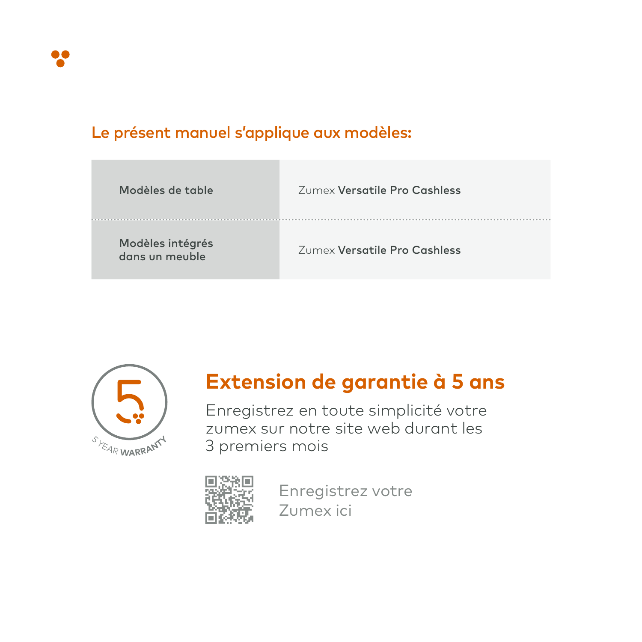## Le présent manuel s'applique aux modèles:





# **Extension de garantie à 5 ans**

Enregistrez en toute simplicité votre zumex sur notre site web durant les 3 premiers mois



Enregistrez votre Zumex ici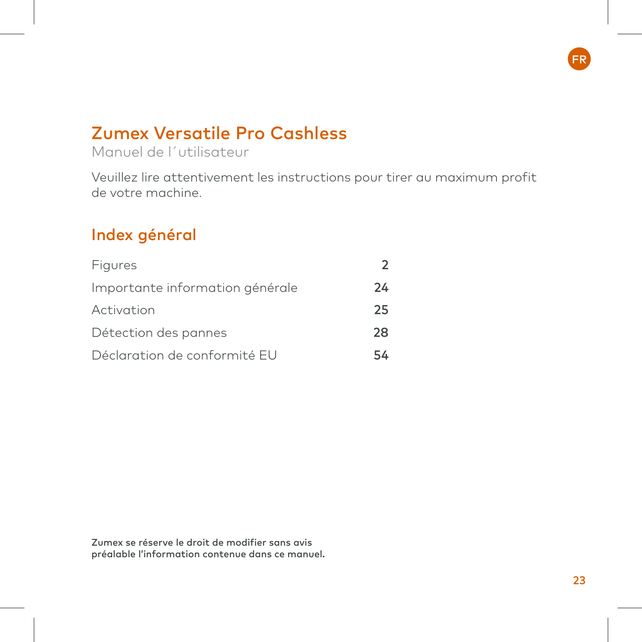#### FR

## Zumex Versatile Pro Cashless

Manuel de l´utilisateur

Veuillez lire attentivement les instructions pour tirer au maximum profit de votre machine.

## Index général

| Figures                         |    |
|---------------------------------|----|
| Importante information générale | 24 |
| Activation                      | 25 |
| Détection des pannes            | 28 |
| Déclaration de conformité EU    | 54 |

Zumex se réserve le droit de modifier sans avis préalable l'information contenue dans ce manuel.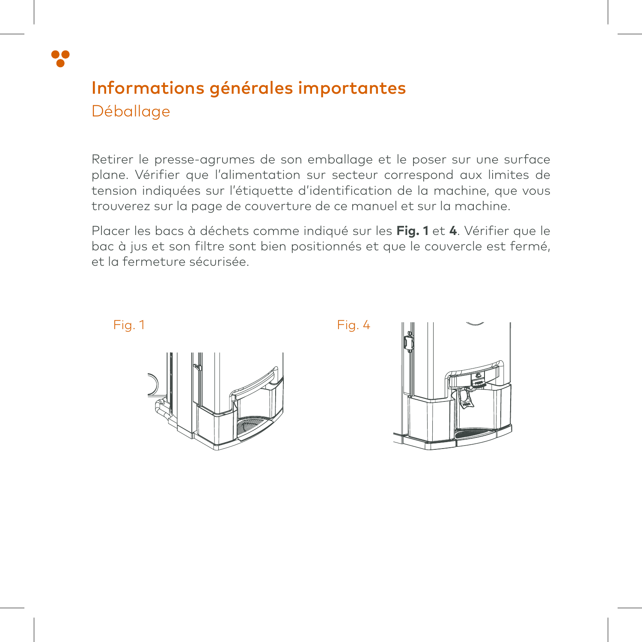# Informations générales importantes Déballage

Retirer le presse-agrumes de son emballage et le poser sur une surface plane. Vérifier que l'alimentation sur secteur correspond aux limites de tension indiquées sur l'étiquette d'identification de la machine, que vous trouverez sur la page de couverture de ce manuel et sur la machine.

Placer les bacs à déchets comme indiqué sur les **Fig. 1** et **4**. Vérifier que le bac à jus et son filtre sont bien positionnés et que le couvercle est fermé, et la fermeture sécurisée.



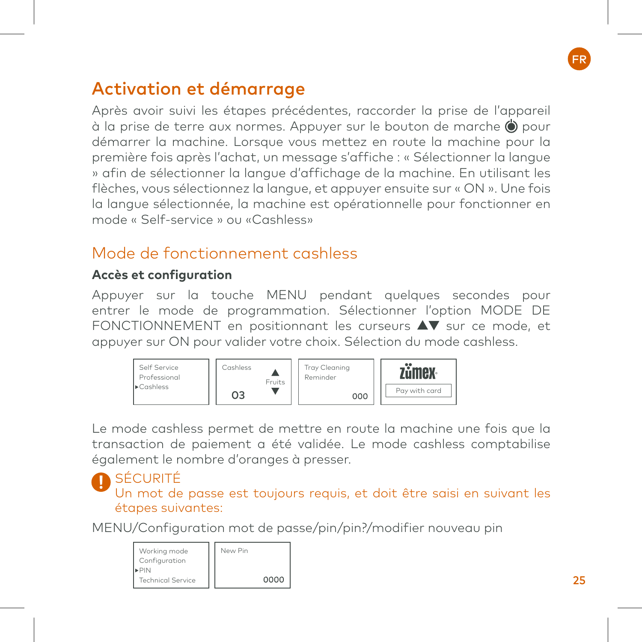## Activation et démarrage

Après avoir suivi les étapes précédentes, raccorder la prise de l'appareil à la prise de terre aux normes. Appuyer sur le bouton de marche (b) pour démarrer la machine. Lorsque vous mettez en route la machine pour la première fois après l'achat, un message s'affiche : « Sélectionner la langue » afin de sélectionner la langue d'affichage de la machine. En utilisant les flèches, vous sélectionnez la langue, et appuyer ensuite sur « ON ». Une fois la langue sélectionnée, la machine est opérationnelle pour fonctionner en mode « Self-service » ou «Cashless»

## Mode de fonctionnement cashless

#### **Accès et configuration**

Appuyer sur la touche MENU pendant quelques secondes pour entrer le mode de programmation. Sélectionner l'option MODE DE FONCTIONNEMENT en positionnant les curseurs  $\blacktriangle\blacktriangledown$  sur ce mode, et appuyer sur ON pour valider votre choix. Sélection du mode cashless.



Le mode cashless permet de mettre en route la machine une fois que la transaction de paiement a été validée. Le mode cashless comptabilise également le nombre d'oranges à presser.

# SÉCURITÉ

Un mot de passe est toujours requis, et doit être saisi en suivant les étapes suivantes:

MENU/Configuration mot de passe/pin/pin?/modifier nouveau pin



FR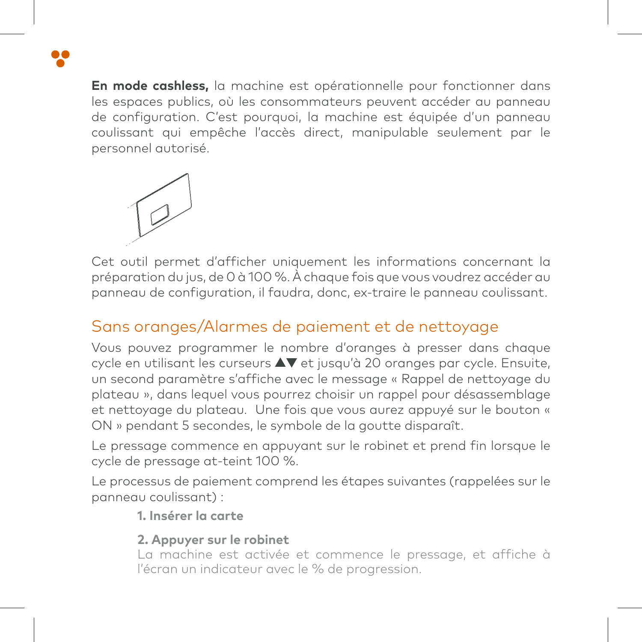**En mode cashless,** la machine est opérationnelle pour fonctionner dans les espaces publics, où les consommateurs peuvent accéder au panneau de configuration. C'est pourquoi, la machine est équipée d'un panneau coulissant qui empêche l'accès direct, manipulable seulement par le personnel autorisé.



Cet outil permet d'afficher uniquement les informations concernant la préparation du jus, de 0 à 100 %. À chaque fois que vous voudrez accéder au panneau de configuration, il faudra, donc, ex-traire le panneau coulissant.

## Sans oranges/Alarmes de paiement et de nettoyage

Vous pouvez programmer le nombre d'oranges à presser dans chaque cycle en utilisant les curseurs  $\blacktriangle\blacktriangledown$  et jusqu'à 20 oranges par cycle. Ensuite, un second paramètre s'affiche avec le message « Rappel de nettoyage du plateau », dans lequel vous pourrez choisir un rappel pour désassemblage et nettoyage du plateau. Une fois que vous aurez appuyé sur le bouton « ON » pendant 5 secondes, le symbole de la goutte disparaît.

Le pressage commence en appuyant sur le robinet et prend fin lorsque le cycle de pressage at-teint 100 %.

Le processus de paiement comprend les étapes suivantes (rappelées sur le panneau coulissant) :

**1. Insérer la carte**

#### **2. Appuyer sur le robinet**

La machine est activée et commence le pressage, et affiche à l'écran un indicateur avec le % de progression.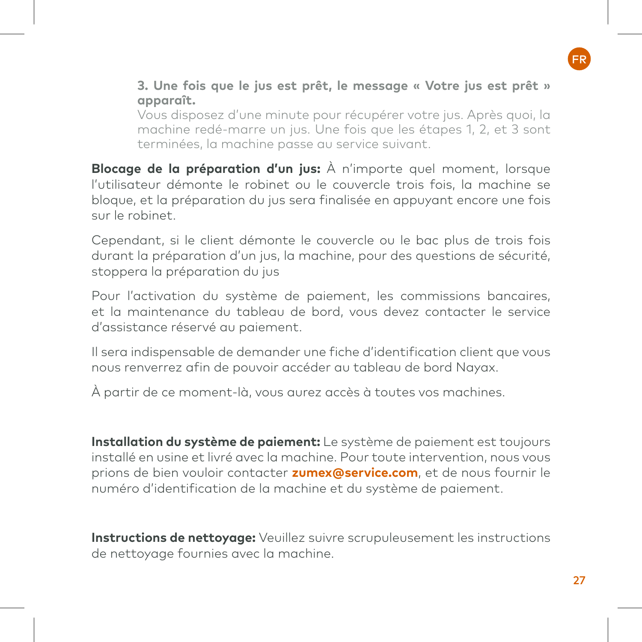#### **3. Une fois que le jus est prêt, le message « Votre jus est prêt » apparaît.**

Vous disposez d'une minute pour récupérer votre jus. Après quoi, la machine redé-marre un jus. Une fois que les étapes 1, 2, et 3 sont terminées, la machine passe au service suivant.

**Blocage de la préparation d'un jus:** À n'importe quel moment, lorsque l'utilisateur démonte le robinet ou le couvercle trois fois, la machine se bloque, et la préparation du jus sera finalisée en appuyant encore une fois sur le robinet.

Cependant, si le client démonte le couvercle ou le bac plus de trois fois durant la préparation d'un jus, la machine, pour des questions de sécurité, stoppera la préparation du jus

Pour l'activation du système de paiement, les commissions bancaires, et la maintenance du tableau de bord, vous devez contacter le service d'assistance réservé au paiement.

Il sera indispensable de demander une fiche d'identification client que vous nous renverrez afin de pouvoir accéder au tableau de bord Nayax.

À partir de ce moment-là, vous aurez accès à toutes vos machines.

**Installation du système de paiement:** Le système de paiement est toujours installé en usine et livré avec la machine. Pour toute intervention, nous vous prions de bien vouloir contacter **zumex@service.com**, et de nous fournir le numéro d'identification de la machine et du système de paiement.

**Instructions de nettoyage:** Veuillez suivre scrupuleusement les instructions de nettoyage fournies avec la machine.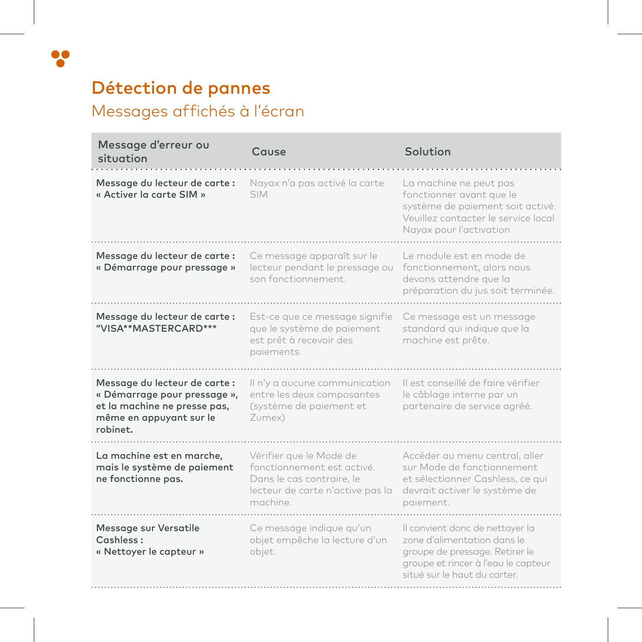# Détection de pannes

# Messages affichés à l'écran

| Message d'erreur ou<br>situation                                                                                                     | Cause                                                                                                                              | Solution                                                                                                                                                                |
|--------------------------------------------------------------------------------------------------------------------------------------|------------------------------------------------------------------------------------------------------------------------------------|-------------------------------------------------------------------------------------------------------------------------------------------------------------------------|
| Message du lecteur de carte :<br>« Activer la carte SIM »                                                                            | Nayax n'a pas activé la carte<br><b>SIM</b>                                                                                        | La machine ne peut pas<br>fonctionner avant que le<br>système de paiement soit activé.<br>Veuillez contacter le service local<br>Nayax pour l'activation                |
| Message du lecteur de carte :<br>« Démarrage pour pressage »                                                                         | Ce message apparaît sur le<br>lecteur pendant le pressage ou<br>son fonctionnement.                                                | Le module est en mode de<br>fonctionnement, alors nous<br>devons attendre que la<br>préparation du jus soit terminée.                                                   |
| Message du lecteur de carte :<br>"VISA**MASTERCARD***                                                                                | Est-ce que ce message signifie<br>que le système de paiement<br>est prêt à recevoir des<br>paiements.                              | Ce message est un message<br>standard qui indique que la<br>machine est prête.                                                                                          |
| Message du lecteur de carte :<br>« Démarrage pour pressage »,<br>et la machine ne presse pas,<br>même en appuyant sur le<br>robinet. | Il n'y a aucune communication<br>entre les deux composantes<br>(système de paiement et<br>Zumex)                                   | Il est conseillé de faire vérifier<br>le câblage interne par un<br>partenaire de service agréé.                                                                         |
| La machine est en marche,<br>mais le système de paiement<br>ne fonctionne pas.                                                       | Vérifier que le Mode de<br>fonctionnement est activé.<br>Dans le cas contraire, le<br>lecteur de carte n'active pas la<br>machine. | Accéder au menu central, aller<br>sur Mode de fonctionnement.<br>et sélectionner Cashless, ce qui<br>devrait activer le système de<br>paiement.                         |
| Message sur Versatile<br>Cashless:<br>« Nettoyer le capteur »                                                                        | Ce message indique qu'un<br>objet empêche la lecture d'un<br>objet.                                                                | Il convient donc de nettoyer la<br>zone d'alimentation dans le<br>groupe de pressage. Retirer le<br>groupe et rincer à l'eau le capteur<br>situé sur le haut du carter. |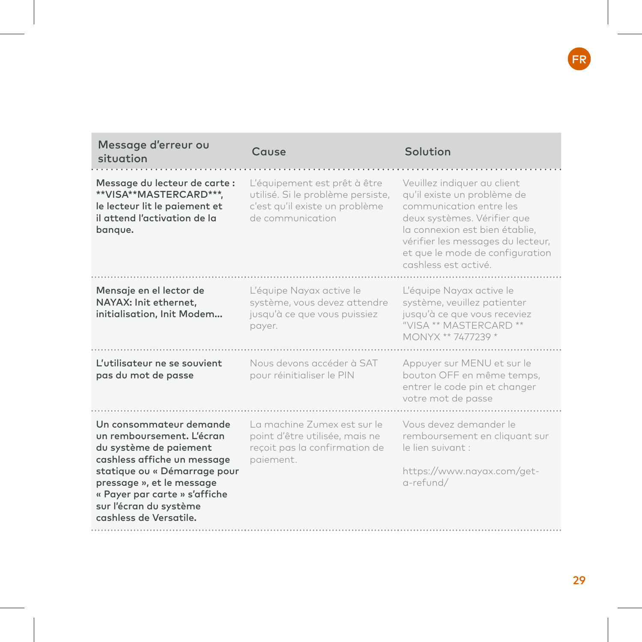| Message d'erreur ou<br>situation                                                                                                                                                                                                                                | Cause                                                                                                                   | Solution                                                                                                                                                                                                                                               |
|-----------------------------------------------------------------------------------------------------------------------------------------------------------------------------------------------------------------------------------------------------------------|-------------------------------------------------------------------------------------------------------------------------|--------------------------------------------------------------------------------------------------------------------------------------------------------------------------------------------------------------------------------------------------------|
| Message du lecteur de carte :<br>**VISA**MASTERCARD***.<br>le lecteur lit le paiement et<br>il attend l'activation de la<br>banque.                                                                                                                             | L'équipement est prêt à être<br>utilisé. Si le problème persiste,<br>c'est qu'il existe un problème<br>de communication | Veuillez indiquer au client<br>qu'il existe un problème de<br>communication entre les<br>deux systèmes. Vérifier que<br>la connexion est bien établie,<br>vérifier les messages du lecteur,<br>et que le mode de configuration<br>cashless est activé. |
| Mensaje en el lector de<br>NAYAX: Init ethernet,<br>initialisation, Init Modem                                                                                                                                                                                  | L'équipe Nayax active le<br>système, vous devez attendre<br>jusqu'à ce que vous puissiez<br>payer.                      | L'équipe Nayax active le<br>système, veuillez patienter<br>jusqu'à ce que vous receviez<br>"VISA ** MASTERCARD **<br>MONYX ** 7477239 *                                                                                                                |
| L'utilisateur ne se souvient<br>pas du mot de passe                                                                                                                                                                                                             | Nous devons accéder à SAT<br>pour réinitialiser le PIN                                                                  | Appuyer sur MENU et sur le<br>bouton OFF en même temps,<br>entrer le code pin et changer<br>votre mot de passe                                                                                                                                         |
| Un consommateur demande<br>un remboursement. L'écran<br>du système de paiement<br>cashless affiche un message<br>statique ou « Démarrage pour<br>pressage », et le message<br>« Payer par carte » s'affiche<br>sur l'écran du système<br>cashless de Versatile. | La machine Zumex est sur le<br>point d'être utilisée, mais ne<br>reçoit pas la confirmation de<br>paiement.             | Vous devez demander le<br>remboursement en cliquant sur<br>le lien suivant :<br>https://www.nayax.com/get-<br>a-refund/                                                                                                                                |

FR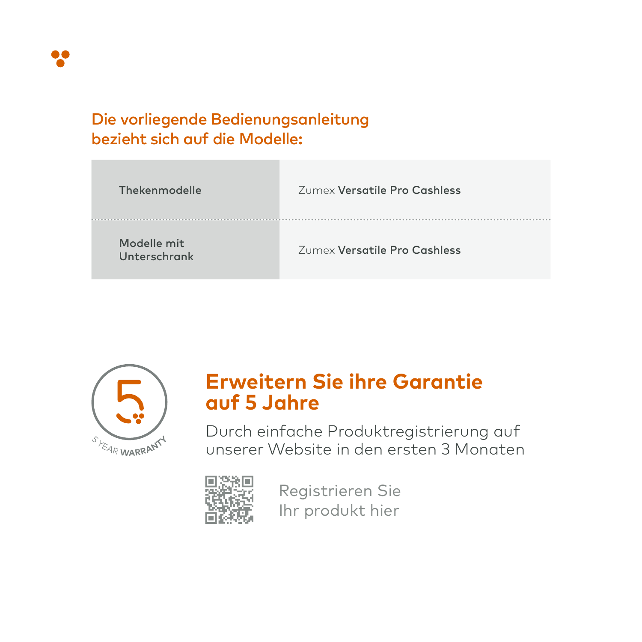## Die vorliegende Bedienungsanleitung bezieht sich auf die Modelle:

| Thekenmodelle               | Zumex Versatile Pro Cashless |
|-----------------------------|------------------------------|
| Modelle mit<br>Unterschrank | Zumex Versatile Pro Cashless |



# **Erweitern Sie ihre Garantie auf 5 Jahre**

Durch einfache Produktregistrierung auf unserer Website in den ersten 3 Monaten



Registrieren Sie Ihr produkt hier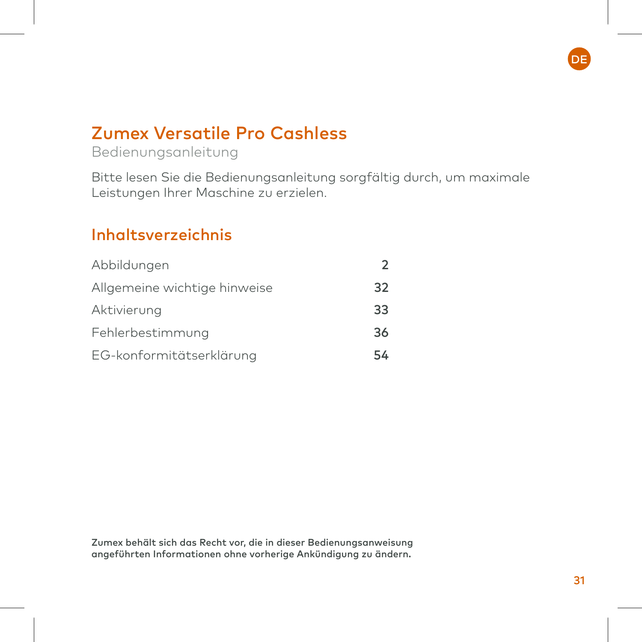# Zumex Versatile Pro Cashless

Bedienungsanleitung

Bitte lesen Sie die Bedienungsanleitung sorgfältig durch, um maximale Leistungen Ihrer Maschine zu erzielen.

## Inhaltsverzeichnis

| Abbildungen                  |     |
|------------------------------|-----|
| Allgemeine wichtige hinweise | 32  |
| Aktivierung                  | 33  |
| Fehlerbestimmung             | 36  |
| EG-konformitätserklärung     | 54. |

Zumex behält sich das Recht vor, die in dieser Bedienungsanweisung angeführten Informationen ohne vorherige Ankündigung zu ändern.

DE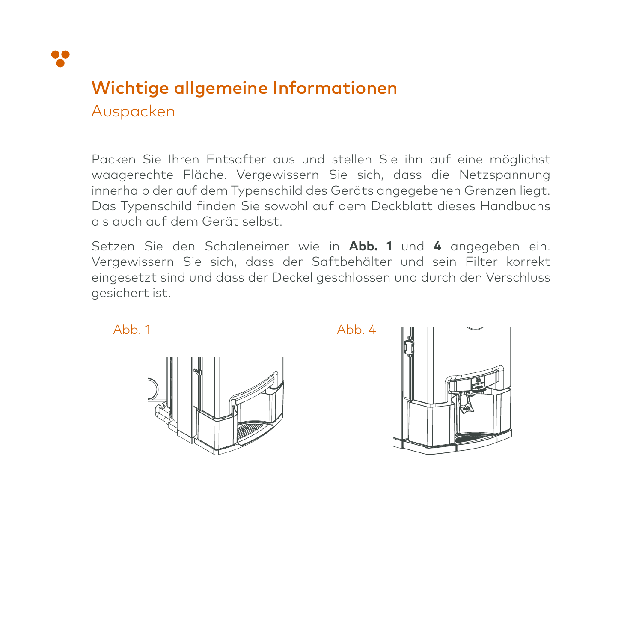# Wichtige allgemeine Informationen Auspacken

Packen Sie Ihren Entsafter aus und stellen Sie ihn auf eine möglichst waagerechte Fläche. Vergewissern Sie sich, dass die Netzspannung innerhalb der auf dem Typenschild des Geräts angegebenen Grenzen liegt. Das Typenschild finden Sie sowohl auf dem Deckblatt dieses Handbuchs als auch auf dem Gerät selbst.

Setzen Sie den Schaleneimer wie in **Abb. 1** und **4** angegeben ein. Vergewissern Sie sich, dass der Saftbehälter und sein Filter korrekt eingesetzt sind und dass der Deckel geschlossen und durch den Verschluss gesichert ist.

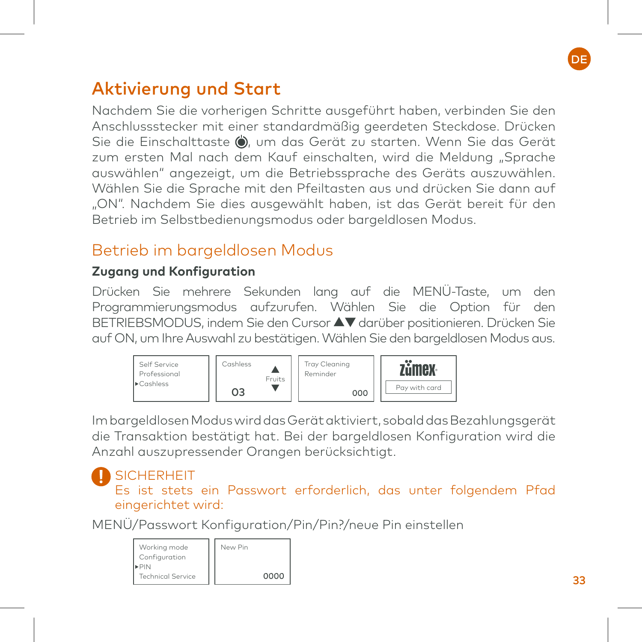# Aktivierung und Start

Nachdem Sie die vorherigen Schritte ausgeführt haben, verbinden Sie den Anschlussstecker mit einer standardmäßig geerdeten Steckdose. Drücken Sie die Einschalttaste (b), um das Gerät zu starten. Wenn Sie das Gerät zum ersten Mal nach dem Kauf einschalten, wird die Meldung "Sprache auswählen" angezeigt, um die Betriebssprache des Geräts auszuwählen. Wählen Sie die Sprache mit den Pfeiltasten aus und drücken Sie dann auf "ON". Nachdem Sie dies ausgewählt haben, ist das Gerät bereit für den Betrieb im Selbstbedienungsmodus oder bargeldlosen Modus.

## Betrieb im bargeldlosen Modus

#### **Zugang und Konfiguration**

Drücken Sie mehrere Sekunden lang auf die MENÜ-Taste, um den Programmierungsmodus aufzurufen. Wählen Sie die Option für den BETRIEBSMODUS, indem Sie den Cursor darüber positionieren. Drücken Sie auf ON, um Ihre Auswahl zu bestätigen. Wählen Sie den bargeldlosen Modus aus.



Im bargeldlosen Modus wird das Gerät aktiviert, sobald das Bezahlungsgerät die Transaktion bestätigt hat. Bei der bargeldlosen Konfiguration wird die Anzahl auszupressender Orangen berücksichtigt.

#### **N** SICHERHEIT Es ist stets ein Passwort erforderlich, das unter folgendem Pfad eingerichtet wird:

MENÜ/Passwort Konfiguration/Pin/Pin?/neue Pin einstellen



DE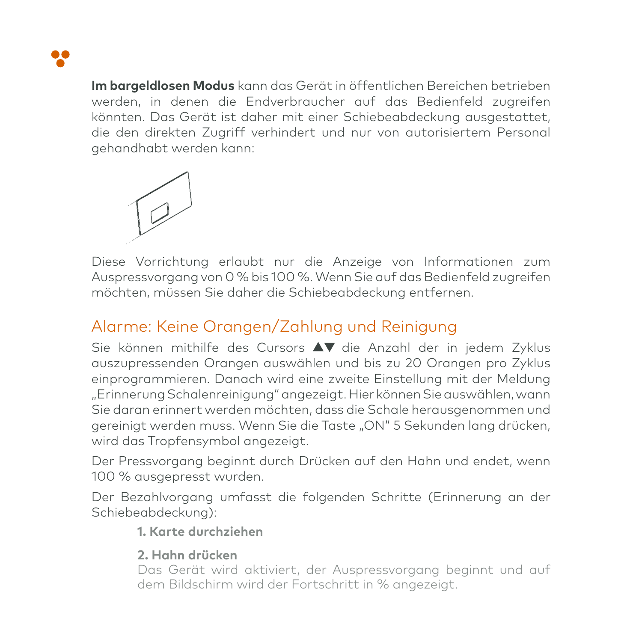**Im bargeldlosen Modus** kann das Gerät in öffentlichen Bereichen betrieben werden, in denen die Endverbraucher auf das Bedienfeld zugreifen könnten. Das Gerät ist daher mit einer Schiebeabdeckung ausgestattet, die den direkten Zugriff verhindert und nur von autorisiertem Personal gehandhabt werden kann:



Diese Vorrichtung erlaubt nur die Anzeige von Informationen zum Auspressvorgang von 0 % bis 100 %. Wenn Sie auf das Bedienfeld zugreifen möchten, müssen Sie daher die Schiebeabdeckung entfernen.

## Alarme: Keine Orangen/Zahlung und Reinigung

Sie können mithilfe des Cursors  $\blacktriangle\blacktriangledown$  die Anzahl der in jedem Zyklus auszupressenden Orangen auswählen und bis zu 20 Orangen pro Zyklus einprogrammieren. Danach wird eine zweite Einstellung mit der Meldung "Erinnerung Schalenreinigung" angezeigt. Hier können Sie auswählen, wann Sie daran erinnert werden möchten, dass die Schale herausgenommen und gereinigt werden muss. Wenn Sie die Taste "ON" 5 Sekunden lang drücken, wird das Tropfensymbol angezeigt.

Der Pressvorgang beginnt durch Drücken auf den Hahn und endet, wenn 100 % ausgepresst wurden.

Der Bezahlvorgang umfasst die folgenden Schritte (Erinnerung an der Schiebeabdeckung):

**1. Karte durchziehen**

#### **2. Hahn drücken**

Das Gerät wird aktiviert, der Auspressvorgang beginnt und auf dem Bildschirm wird der Fortschritt in % angezeigt.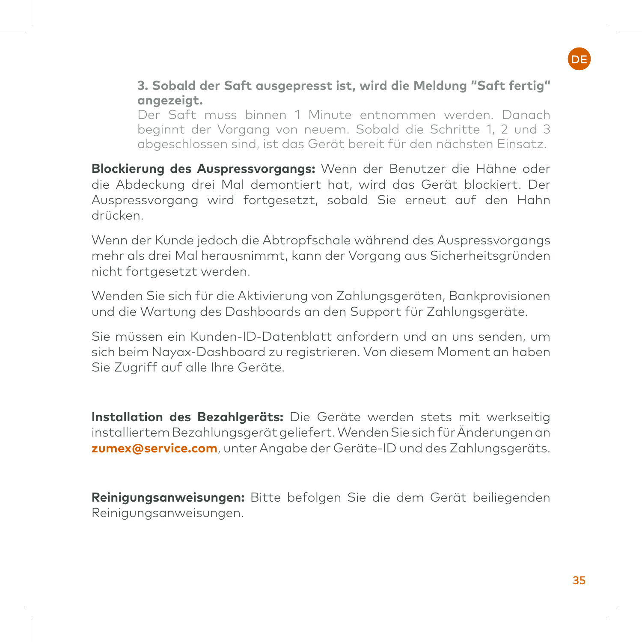#### **3. Sobald der Saft ausgepresst ist, wird die Meldung "Saft fertig" angezeigt.**

Der Saft muss binnen 1 Minute entnommen werden. Danach beginnt der Vorgang von neuem. Sobald die Schritte 1, 2 und 3 abgeschlossen sind, ist das Gerät bereit für den nächsten Einsatz.

**Blockierung des Auspressvorgangs:** Wenn der Benutzer die Hähne oder die Abdeckung drei Mal demontiert hat, wird das Gerät blockiert. Der Auspressvorgang wird fortgesetzt, sobald Sie erneut auf den Hahn drücken.

Wenn der Kunde jedoch die Abtropfschale während des Auspressvorgangs mehr als drei Mal herausnimmt, kann der Vorgang aus Sicherheitsgründen nicht fortgesetzt werden.

Wenden Sie sich für die Aktivierung von Zahlungsgeräten, Bankprovisionen und die Wartung des Dashboards an den Support für Zahlungsgeräte.

Sie müssen ein Kunden-ID-Datenblatt anfordern und an uns senden, um sich beim Nayax-Dashboard zu registrieren. Von diesem Moment an haben Sie Zugriff auf alle Ihre Geräte.

**Installation des Bezahlgeräts:** Die Geräte werden stets mit werkseitig installiertem Bezahlungsgerät geliefert. Wenden Sie sich für Änderungen an **zumex@service.com**, unter Angabe der Geräte-ID und des Zahlungsgeräts.

**Reinigungsanweisungen:** Bitte befolgen Sie die dem Gerät beiliegenden Reinigungsanweisungen.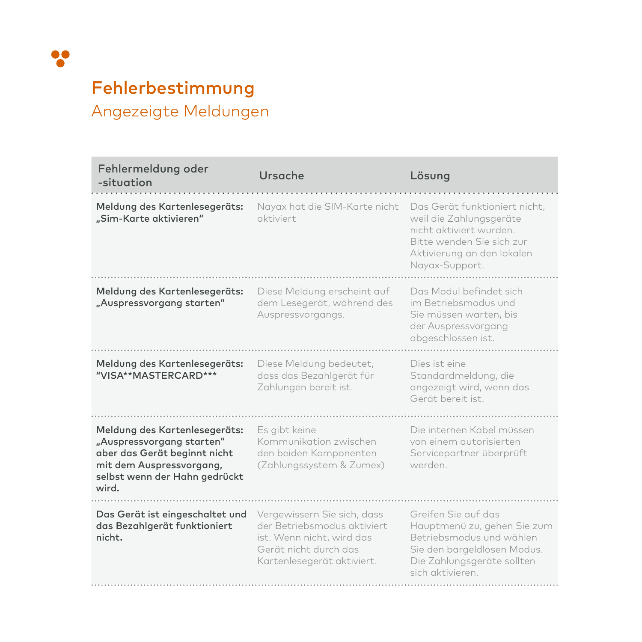# Fehlerbestimmung Angezeigte Meldungen

| Fehlermeldung oder<br>-situation                                                                                                                                 | Ursache                                                                                                                                        | Lösung                                                                                                                                                           |
|------------------------------------------------------------------------------------------------------------------------------------------------------------------|------------------------------------------------------------------------------------------------------------------------------------------------|------------------------------------------------------------------------------------------------------------------------------------------------------------------|
| Meldung des Kartenlesegeräts:<br>"Sim-Karte aktivieren"                                                                                                          | Nayax hat die SIM-Karte nicht<br>aktiviert                                                                                                     | Das Gerät funktioniert nicht,<br>weil die Zahlungsgeräte<br>nicht aktiviert wurden.<br>Bitte wenden Sie sich zur<br>Aktivierung an den lokalen<br>Nayax-Support. |
| Meldung des Kartenlesegeräts:<br>"Auspressvorgang starten"                                                                                                       | Diese Meldung erscheint auf<br>dem Lesegerät, während des<br>Auspressvorgangs.                                                                 | Das Modul befindet sich<br>im Betriebsmodus und<br>Sie müssen warten, bis<br>der Auspressvorgang<br>abgeschlossen ist.                                           |
| Meldung des Kartenlesegeräts:<br>"VISA**MASTERCARD***                                                                                                            | Diese Meldung bedeutet,<br>dass das Bezahlgerät für<br>Zahlungen bereit ist.                                                                   | Dies ist eine<br>Standardmeldung, die<br>angezeigt wird, wenn das<br>Gerät bereit ist.                                                                           |
| Meldung des Kartenlesegeräts:<br>"Auspressvorgang starten"<br>aber das Gerät beginnt nicht<br>mit dem Auspressvorgang,<br>selbst wenn der Hahn gedrückt<br>wird. | Es gibt keine<br>Kommunikation zwischen<br>den beiden Komponenten<br>(Zahlungssystem & Zumex)                                                  | Die internen Kabel müssen<br>von einem autorisierten<br>Servicepartner überprüft<br>werden.                                                                      |
| Das Gerät ist eingeschaltet und<br>das Bezahlgerät funktioniert<br>nicht.                                                                                        | Vergewissern Sie sich, dass<br>der Betriebsmodus aktiviert<br>ist. Wenn nicht, wird das<br>Gerät nicht durch das<br>Kartenlesegerät aktiviert. | Greifen Sie auf das<br>Hauptmenü zu, gehen Sie zum<br>Betriebsmodus und wählen<br>Sie den bargeldlosen Modus.<br>Die Zahlungsgeräte sollten<br>sich aktivieren   |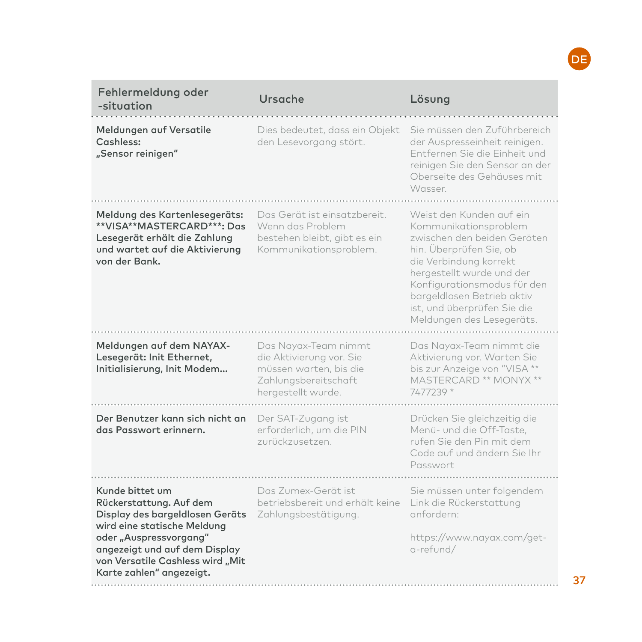# **OB**

| Fehlermeldung oder<br>-situation                                                                                                                                                                                                        | Ursache                                                                                                                  | Lösung                                                                                                                                                                                                                                                                                      |
|-----------------------------------------------------------------------------------------------------------------------------------------------------------------------------------------------------------------------------------------|--------------------------------------------------------------------------------------------------------------------------|---------------------------------------------------------------------------------------------------------------------------------------------------------------------------------------------------------------------------------------------------------------------------------------------|
| Meldungen auf Versatile<br>Cashless:<br>"Sensor reinigen"                                                                                                                                                                               | Dies bedeutet, dass ein Objekt<br>den Lesevorgang stört.                                                                 | Sie müssen den Zuführbereich<br>der Auspresseinheit reinigen.<br>Entfernen Sie die Einheit und<br>reinigen Sie den Sensor an der<br>Oberseite des Gehäuses mit<br>Wasser                                                                                                                    |
| Meldung des Kartenlesegeräts:<br>**VISA**MASTERCARD***: Das<br>Lesegerät erhält die Zahlung<br>und wartet auf die Aktivierung<br>von der Bank.                                                                                          | Das Gerät ist einsatzbereit.<br>Wenn das Problem<br>bestehen bleibt, gibt es ein<br>Kommunikationsproblem.               | Weist den Kunden auf ein<br>Kommunikationsproblem<br>zwischen den beiden Geräten<br>hin. Überprüfen Sie, ob<br>die Verbindung korrekt<br>hergestellt wurde und der<br>Konfigurationsmodus für den<br>bargeldlosen Betrieb aktiv<br>ist, und überprüfen Sie die<br>Meldungen des Lesegeräts. |
| Meldungen auf dem NAYAX-<br>Lesegerät: Init Ethernet,<br>Initialisierung, Init Modem                                                                                                                                                    | Das Nayax-Team nimmt<br>die Aktivierung vor. Sie<br>müssen warten, bis die<br>Zahlungsbereitschaft<br>hergestellt wurde. | Das Nayax-Team nimmt die<br>Aktivierung vor. Warten Sie<br>bis zur Anzeige von "VISA **<br>MASTERCARD ** MONYX **<br>7477239 *                                                                                                                                                              |
| Der Benutzer kann sich nicht an<br>das Passwort erinnern.                                                                                                                                                                               | Der SAT-Zugang ist<br>erforderlich, um die PIN<br>zurückzusetzen.                                                        | Drücken Sie gleichzeitig die<br>Menü- und die Off-Taste,<br>rufen Sie den Pin mit dem<br>Code auf und ändern Sie Ihr<br>Passwort                                                                                                                                                            |
| Kunde bittet um<br>Rückerstattung. Auf dem<br>Display des bargeldlosen Geräts<br>wird eine statische Meldung<br>oder "Auspressvorgang"<br>angezeigt und auf dem Display<br>von Versatile Cashless wird "Mit<br>Karte zahlen" angezeigt. | Das Zumex-Gerät ist<br>betriebsbereit und erhält keine<br>Zahlungsbestätigung.                                           | Sie müssen unter folgendem<br>Link die Rückerstattung<br>anfordern:<br>https://www.nayax.com/get-<br>a-refund/                                                                                                                                                                              |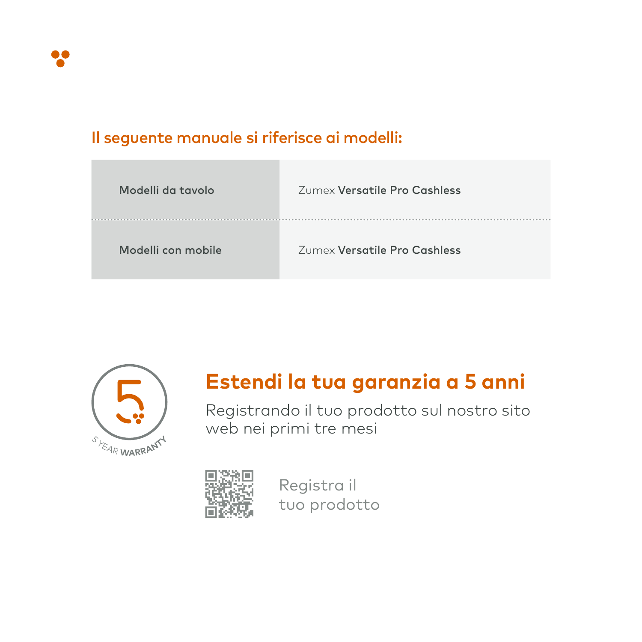## Il seguente manuale si riferisce ai modelli:

| Modelli da tavolo  | Zumex Versatile Pro Cashless |
|--------------------|------------------------------|
| Modelli con mobile | Zumex Versatile Pro Cashless |



# **Estendi la tua garanzia a 5 anni**

Registrando il tuo prodotto sul nostro sito web nei primi tre mesi



Registra il tuo prodotto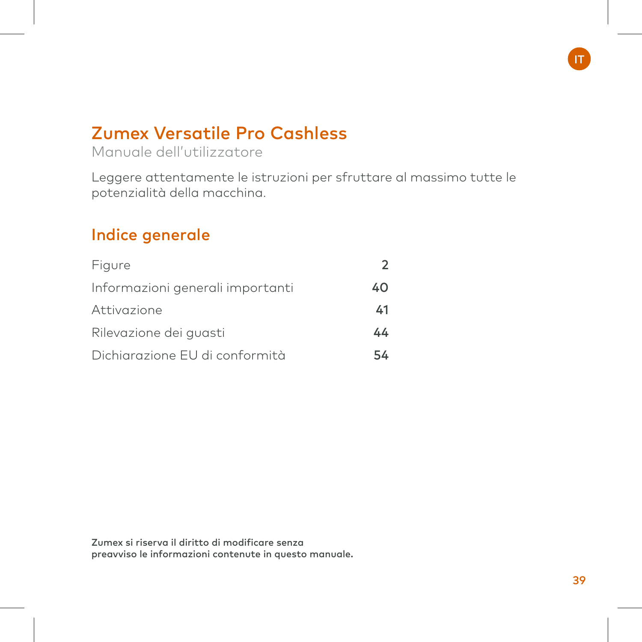## Zumex Versatile Pro Cashless

Manuale dell'utilizzatore

Leggere attentamente le istruzioni per sfruttare al massimo tutte le potenzialità della macchina.

## Indice generale

| Figure                           |     |
|----------------------------------|-----|
| Informazioni generali importanti | 40. |
| Attivazione                      | 41  |
| Rilevazione dei guasti           | 44. |
| Dichiarazione EU di conformità   | 54. |

Zumex si riserva il diritto di modificare senza preavviso le informazioni contenute in questo manuale.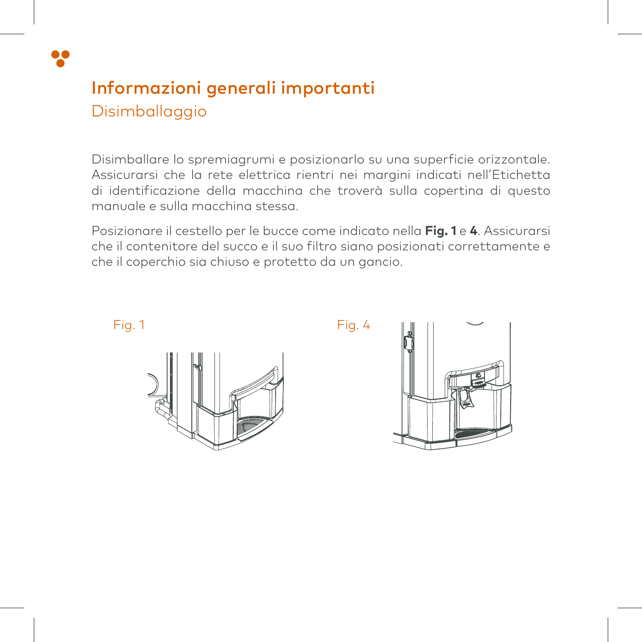# Informazioni generali importanti **Disimballaggio**

Disimballare lo spremiagrumi e posizionarlo su una superficie orizzontale. Assicurarsi che la rete elettrica rientri nei margini indicati nell'Etichetta di identificazione della macchina che troverà sulla copertina di questo manuale e sulla macchina stessa.

Posizionare il cestello per le bucce come indicato nella **Fig. 1** e **4**. Assicurarsi che il contenitore del succo e il suo filtro siano posizionati correttamente e che il coperchio sia chiuso e protetto da un gancio.

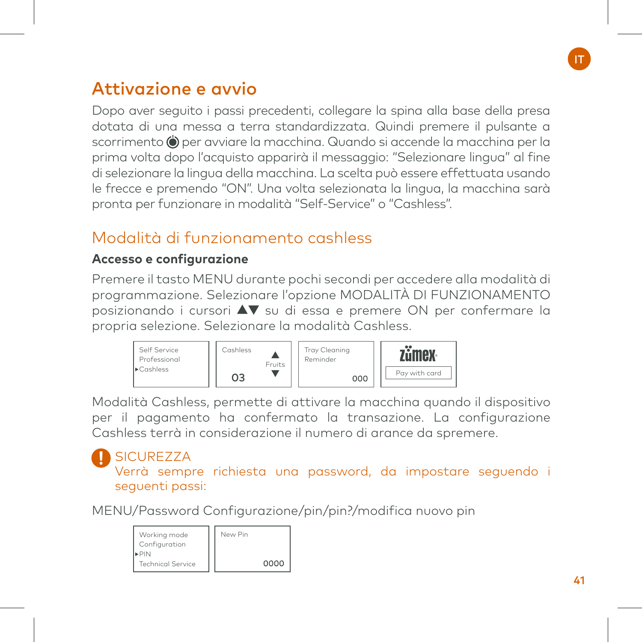# Attivazione e avvio

Dopo aver seguito i passi precedenti, collegare la spina alla base della presa dotata di una messa a terra standardizzata. Quindi premere il pulsante a scorrimento  $\ddot{\bullet}$  per avviare la macchina. Quando si accende la macchina per la prima volta dopo l'acquisto apparirà il messaggio: "Selezionare lingua" al fine di selezionare la lingua della macchina. La scelta può essere effettuata usando le frecce e premendo "ON". Una volta selezionata la lingua, la macchina sarà pronta per funzionare in modalità "Self-Service" o "Cashless".

## Modalità di funzionamento cashless

#### **Accesso e configurazione**

Premere il tasto MENU durante pochi secondi per accedere alla modalità di programmazione. Selezionare l'opzione MODALITÀ DI FUNZIONAMENTO posizionando i cursori  $\blacktriangle\blacktriangledown$  su di essa e premere ON per confermare la propria selezione. Selezionare la modalità Cashless.



Modalità Cashless, permette di attivare la macchina quando il dispositivo per il pagamento ha confermato la transazione. La configurazione Cashless terrà in considerazione il numero di arance da spremere.

#### SICUREZZA Verrà sempre richiesta una password, da impostare seguendo i seguenti passi:

MENU/Password Configurazione/pin/pin?/modifica nuovo pin



IT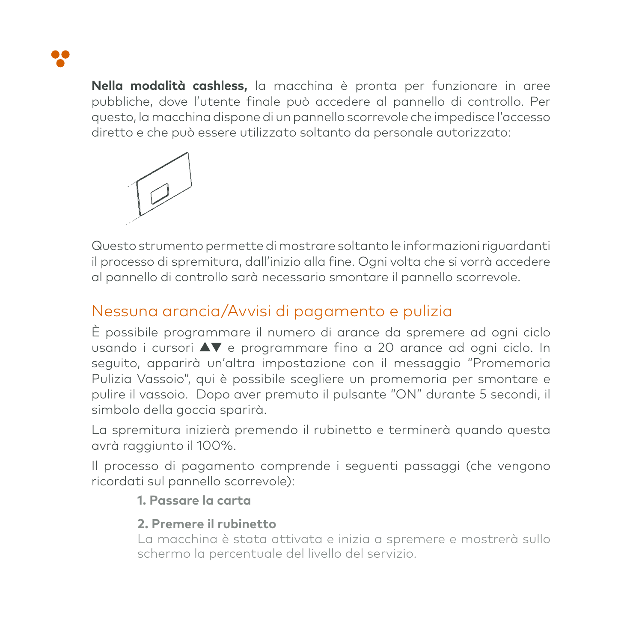**Nella modalità cashless,** la macchina è pronta per funzionare in aree pubbliche, dove l'utente finale può accedere al pannello di controllo. Per questo, la macchina dispone di un pannello scorrevole che impedisce l'accesso diretto e che può essere utilizzato soltanto da personale autorizzato:



Questo strumento permette di mostrare soltanto le informazioni riguardanti il processo di spremitura, dall'inizio alla fine. Ogni volta che si vorrà accedere al pannello di controllo sarà necessario smontare il pannello scorrevole.

## Nessuna arancia/Avvisi di pagamento e pulizia

È possibile programmare il numero di arance da spremere ad ogni ciclo usando i cursori  $\blacktriangle \blacktriangledown$  e programmare fino a 20 arance ad ogni ciclo. In seguito, apparirà un'altra impostazione con il messaggio "Promemoria Pulizia Vassoio", qui è possibile scegliere un promemoria per smontare e pulire il vassoio. Dopo aver premuto il pulsante "ON" durante 5 secondi, il simbolo della goccia sparirà.

La spremitura inizierà premendo il rubinetto e terminerà quando questa avrà raggiunto il 100%.

Il processo di pagamento comprende i seguenti passaggi (che vengono ricordati sul pannello scorrevole):

#### **1. Passare la carta**

#### **2. Premere il rubinetto**

La macchina è stata attivata e inizia a spremere e mostrerà sullo schermo la percentuale del livello del servizio.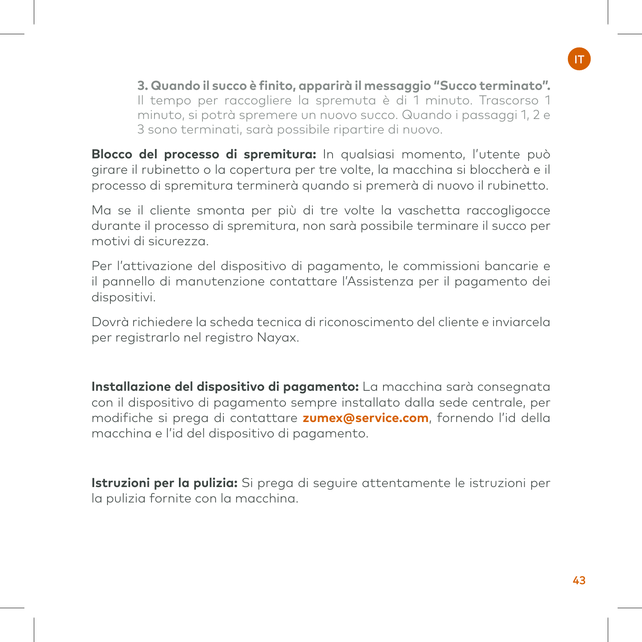**3. Quando il succo è finito, apparirà il messaggio "Succo terminato".** Il tempo per raccogliere la spremuta è di 1 minuto. Trascorso 1 minuto, si potrà spremere un nuovo succo. Quando i passaggi 1, 2 e 3 sono terminati, sarà possibile ripartire di nuovo.

**Blocco del processo di spremitura:** In qualsiasi momento, l'utente può girare il rubinetto o la copertura per tre volte, la macchina si bloccherà e il processo di spremitura terminerà quando si premerà di nuovo il rubinetto.

Ma se il cliente smonta per più di tre volte la vaschetta raccogligocce durante il processo di spremitura, non sarà possibile terminare il succo per motivi di sicurezza.

Per l'attivazione del dispositivo di pagamento, le commissioni bancarie e il pannello di manutenzione contattare l'Assistenza per il pagamento dei dispositivi.

Dovrà richiedere la scheda tecnica di riconoscimento del cliente e inviarcela per registrarlo nel registro Nayax.

**Installazione del dispositivo di pagamento:** La macchina sarà consegnata con il dispositivo di pagamento sempre installato dalla sede centrale, per modifiche si prega di contattare **zumex@service.com**, fornendo l'id della macchina e l'id del dispositivo di pagamento.

**Istruzioni per la pulizia:** Si prega di seguire attentamente le istruzioni per la pulizia fornite con la macchina.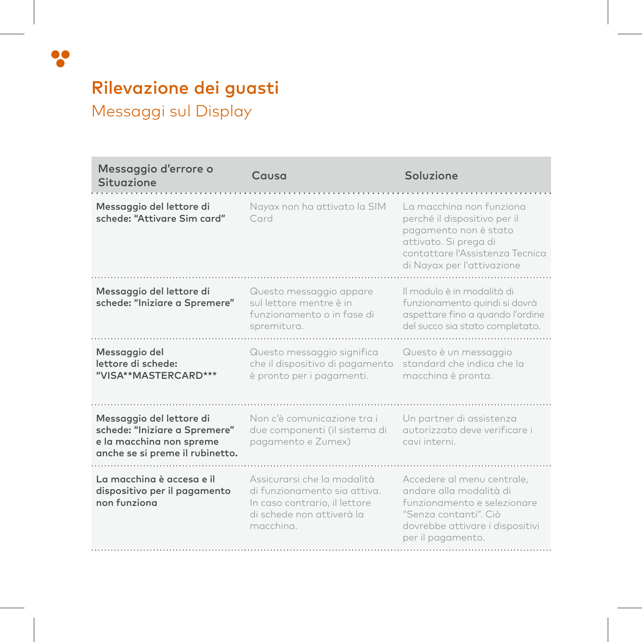# Rilevazione dei guasti Messaggi sul Display

| Messaggio d'errore o<br>Situazione                                                                                       | Causa                                                                                                                                  | Soluzione                                                                                                                                                                   |
|--------------------------------------------------------------------------------------------------------------------------|----------------------------------------------------------------------------------------------------------------------------------------|-----------------------------------------------------------------------------------------------------------------------------------------------------------------------------|
| Messaggio del lettore di<br>schede: "Attivare Sim card"                                                                  | Nayax non ha attivato la SIM<br>Card                                                                                                   | La macchina non funziona<br>perché il dispositivo per il<br>pagamento non è stato<br>attivato. Si prega di<br>contattare l'Assistenza Tecnica<br>di Nayax per l'attivazione |
| Messaggio del lettore di<br>schede: "Iniziare a Spremere"                                                                | Questo messaggio appare<br>sul lettore mentre è in<br>funzionamento o in fase di<br>spremitura.                                        | Il modulo è in modalità di<br>funzionamento quindi si dovrà<br>aspettare fino a quando l'ordine<br>del succo sia stato completato.                                          |
| Messaggio del<br>lettore di schede:<br>"VISA**MASTERCARD***                                                              | Questo messaggio significa<br>che il dispositivo di pagamento<br>è pronto per i pagamenti.                                             | Questo è un messaggio<br>standard che indica che la<br>macchina è pronta.                                                                                                   |
| Messaggio del lettore di<br>schede: "Iniziare a Spremere"<br>e la macchina non spreme<br>anche se si preme il rubinetto. | Non c'è comunicazione tra i<br>due componenti (il sistema di<br>pagamento e Zumex)                                                     | Un partner di assistenza<br>autorizzato deve verificare i<br>cavi interni.                                                                                                  |
| La macchina è accesa e il<br>dispositivo per il pagamento<br>non funziona                                                | Assicurarsi che la modalità<br>di funzionamento sia attiva.<br>In caso contrario, il lettore<br>di schede non attiverà la<br>macchina. | Accedere al menu centrale,<br>andare alla modalità di<br>funzionamento e selezionare<br>"Senza contanti". Ciò<br>dovrebbe attivare i dispositivi<br>per il pagamento.       |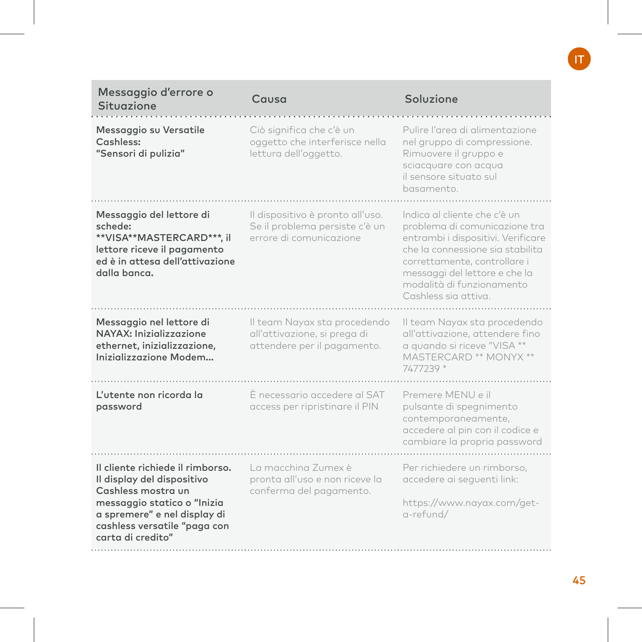| Messaggio d'errore o<br>Situazione                                                                                                                                                                       | Causa                                                                                         | Soluzione                                                                                                                                                                                                                                                     |
|----------------------------------------------------------------------------------------------------------------------------------------------------------------------------------------------------------|-----------------------------------------------------------------------------------------------|---------------------------------------------------------------------------------------------------------------------------------------------------------------------------------------------------------------------------------------------------------------|
| Messaggio su Versatile<br>Cashless:<br>"Sensori di pulizia"                                                                                                                                              | Ciò significa che c'è un<br>oggetto che interferisce nella<br>lettura dell'oggetto.           | Pulire l'area di alimentazione<br>nel gruppo di compressione.<br>Rimuovere il gruppo e<br>sciacquare con acqua<br>il sensore situato sul<br>basamento.                                                                                                        |
| Messaggio del lettore di<br>schede:<br>**VISA**MASTERCARD***, il<br>lettore riceve il pagamento<br>ed è in attesa dell'attivazione<br>dalla banca.                                                       | Il dispositivo è pronto all'uso.<br>Se il problema persiste c'è un<br>errore di comunicazione | Indica al cliente che c'è un<br>problema di comunicazione tra<br>entrambi i dispositivi. Verificare<br>che la connessione sia stabilita<br>correttamente, controllare i<br>messaggi del lettore e che la<br>modalità di funzionamento<br>Cashless sia attiva. |
| Messaggio nel lettore di<br>NAYAX: Inizializzazione<br>ethernet, inizializzazione,<br>Inizializzazione Modem                                                                                             | Il team Nayax sta procedendo<br>all'attivazione, si prega di<br>attendere per il pagamento.   | Il team Nayax sta procedendo<br>all'attivazione, attendere fino<br>a quando si riceve "VISA **<br>MASTERCARD ** MONYX **<br>7477239 *                                                                                                                         |
| L'utente non ricorda la<br>password                                                                                                                                                                      | È necessario accedere al SAT<br>access per ripristinare il PIN                                | Premere MFNU e il<br>pulsante di spegnimento<br>contemporaneamente,<br>accedere al pin con il codice e<br>cambiare la propria password                                                                                                                        |
| Il cliente richiede il rimborso.<br>Il display del dispositivo<br>Cashless mostra un<br>messaggio statico o "Inizia<br>a spremere" e nel display di<br>cashless versatile "paga con<br>carta di credito" | La macchina Zumex è<br>pronta all'uso e non riceve la<br>conferma del pagamento.              | Per richiedere un rimborso,<br>accedere ai sequenti link:<br>https://www.nayax.com/get-<br>a-refund/                                                                                                                                                          |

### IT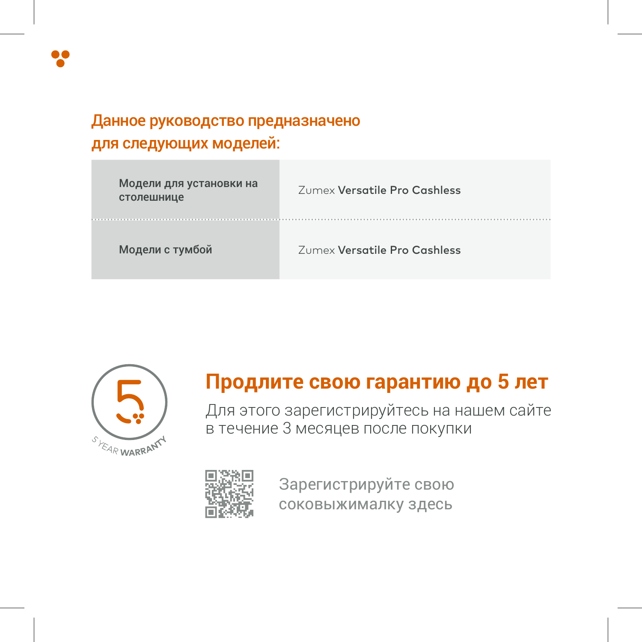## Данное руководство предназначено для следующих моделей:

| Модели для установки на<br>столешнице | Zumex Versatile Pro Cashless |
|---------------------------------------|------------------------------|
| Модели с тумбой                       | Zumex Versatile Pro Cashless |



# **Продлите свою гарантию до 5 лет**

Для этого зарегистрируйтесь на нашем сайте в течение 3 месяцев после покупки



Зарегистрируйте свою соковыжималку здесь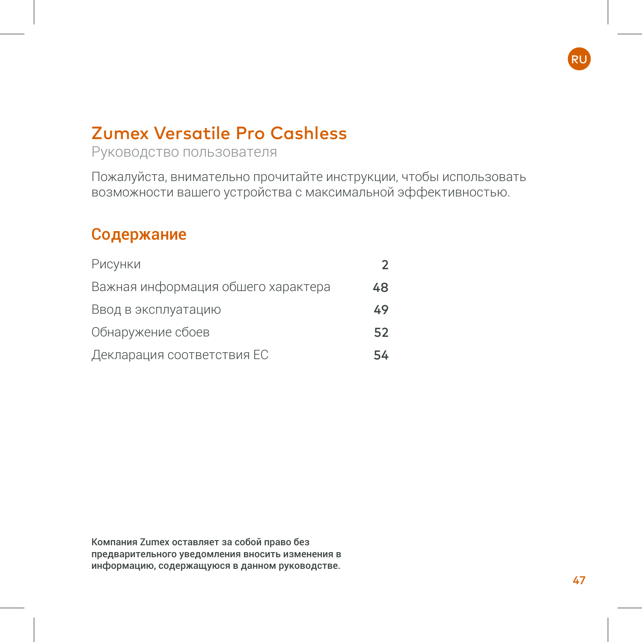# Zumex Versatile Pro Cashless

Руководство пользователя

Пожалуйста, внимательно прочитайте инструкции, чтобы использовать возможности вашего устройства с максимальной эффективностью.

## Содержание

| Рисунки                            |     |
|------------------------------------|-----|
| Важная информация обшего характера | 48  |
| Ввод в эксплуатацию                | 49  |
| Обнаружение сбоев                  | 52  |
| Декларация соответствия ЕС         | 54. |

Компания Zumex оставляет за собой право без предварительного уведомления вносить изменения в информацию, содержащуюся в данном руководстве.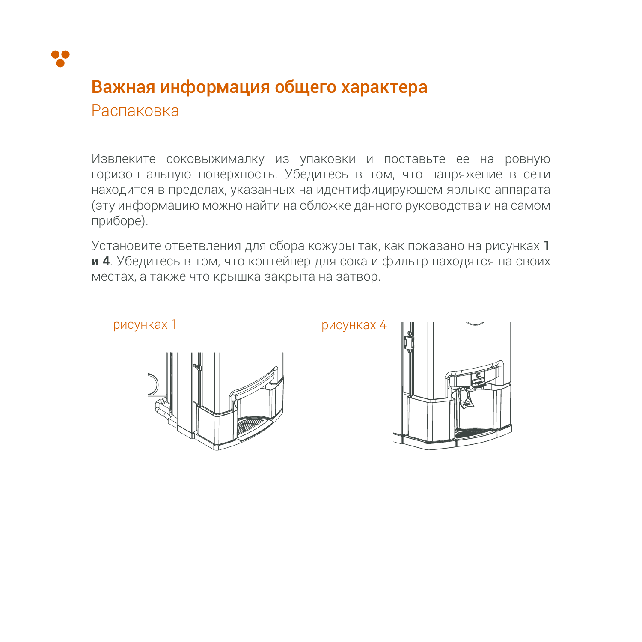# Важная информация общего характера

## Распаковка

Извлеките соковыжималку из упаковки и поставьте ее на ровную горизонтальную поверхность. Убедитесь в том, что напряжение в сети находится в пределах, указанных на идентифицирующем ярлыке аппарата (эту информацию можно найти на обложке данного руководства и на самом приборе).

Установите ответвления для сбора кожуры так, как показано на рисунках **1 и 4**. Убедитесь в том, что контейнер для сока и фильтр находятся на своих местах, а также что крышка закрыта на затвор.

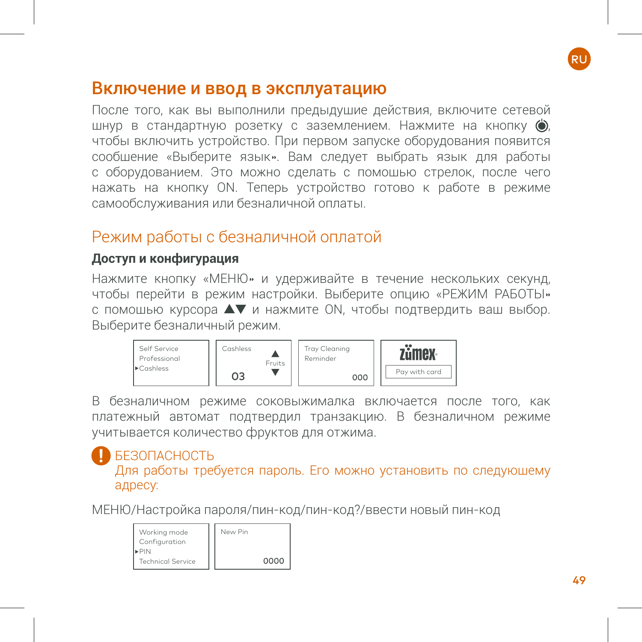## Включение и ввод в эксплуатацию

После того, как вы выполнили предыдущие действия, включите сетевой шнур в стандартную розетку с заземлением. Нажмите на кнопку (•) чтобы включить устройство. При первом запуске оборудования появится сообщение «Выберите язык». Вам следует выбрать язык для работы с оборудованием. Это можно сделать с помощью стрелок, после чего нажать на кнопку ON. Теперь устройство готово к работе в режиме самообслуживания или безналичной оплаты.

### Режим работы с безналичной оплатой

#### **Доступ и конфигурация**

Нажмите кнопку «МЕНЮ» и удерживайте в течение нескольких секунд, чтобы перейти в режим настройки. Выберите опцию «РЕЖИМ РАБОТЫ» с помошью курсора  $\blacktriangle\blacktriangledown$  и нажмите ON, чтобы подтвердить ваш выбор. Выберите безналичный режим.



В безналичном режиме соковыжималка включается после того, как платежный автомат подтвердил транзакцию. В безналичном режиме учитывается количество фруктов для отжима.

#### БЕЗОПАСНОСТЬ Для работы требуется пароль. Его можно установить по следующему адресу:

МЕНЮ/Настройка пароля/пин-код/пин-код?/ввести новый пин-код



RU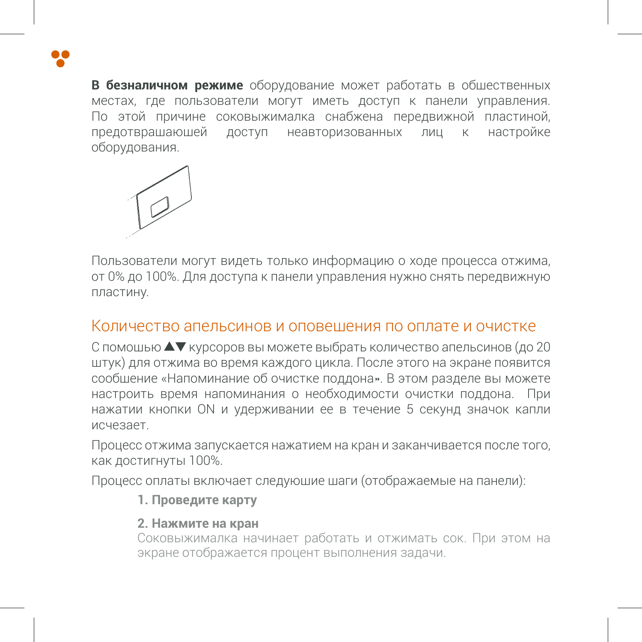**В безналичном режиме** оборудование может работать в общественных местах, где пользователи могут иметь доступ к панели управления. По этой причине соковыжималка снабжена передвижной пластиной, предотвращающей доступ неавторизованных лиц к настройке оборудования.



Пользователи могут видеть только информацию о ходе процесса отжима, от 0% до 100%. Для доступа к панели управления нужно снять передвижную пластину.

#### Количество апельсинов и оповещения по оплате и очистке

С помошью  $\blacktriangle$  курсоров вы можете выбрать количество апельсинов (до 20 штук) для отжима во время каждого цикла. После этого на экране появится сообщение «Напоминание об очистке поддона». В этом разделе вы можете настроить время напоминания о необходимости очистки поддона. При нажатии кнопки ON и удерживании ее в течение 5 секунд значок капли исчезает.

Процесс отжима запускается нажатием на кран и заканчивается после того, как достигнуты 100%.

Процесс оплаты включает следующие шаги (отображаемые на панели):

#### **1. Проведите карту**

#### **2. Нажмите на кран**

Соковыжималка начинает работать и отжимать сок. При этом на экране отображается процент выполнения задачи.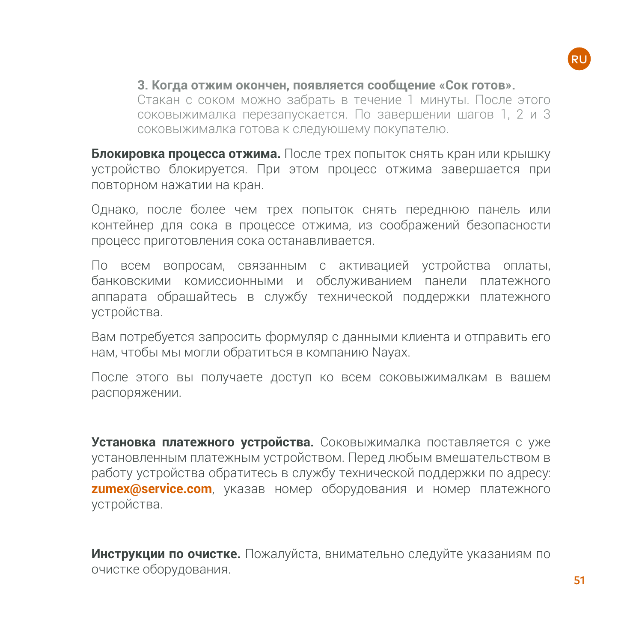#### **3. Когда отжим окончен, появляется сообщение «Сок готов».**

Стакан с соком можно забрать в течение 1 минуты. После этого соковыжималка перезапускается. По завершении шагов 1, 2 и 3 соковыжималка готова к следующему покупателю.

**Блокировка процесса отжима.** После трех попыток снять кран или крышку устройство блокируется. При этом процесс отжима завершается при повторном нажатии на кран.

Однако, после более чем трех попыток снять переднюю панель или контейнер для сока в процессе отжима, из соображений безопасности процесс приготовления сока останавливается.

По всем вопросам, связанным с активацией устройства оплаты, банковскими комиссионными и обслуживанием панели платежного аппарата обращайтесь в службу технической поддержки платежного устройства.

Вам потребуется запросить формуляр с данными клиента и отправить его нам, чтобы мы могли обратиться в компанию Nayax.

После этого вы получаете доступ ко всем соковыжималкам в вашем распоряжении.

**Установка платежного устройства.** Соковыжималка поставляется с уже установленным платежным устройством. Перед любым вмешательством в работу устройства обратитесь в службу технической поддержки по адресу: **zumex@service.com**, указав номер оборудования и номер платежного устройства.

**Инструкции по очистке.** Пожалуйста, внимательно следуйте указаниям по очистке оборудования.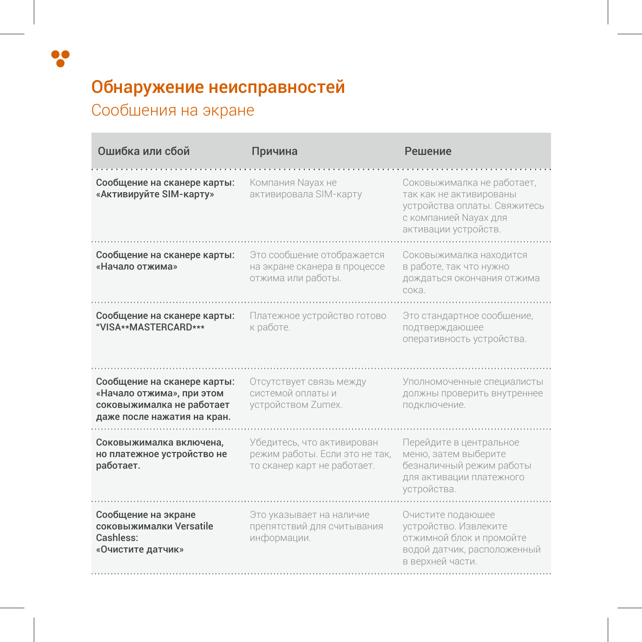# Обнаружение неисправностей

# Сообщения на экране

| Ошибка или сбой                                                                                                      | Причина                                                                                     | Решение                                                                                                                                |
|----------------------------------------------------------------------------------------------------------------------|---------------------------------------------------------------------------------------------|----------------------------------------------------------------------------------------------------------------------------------------|
| Сообщение на сканере карты:<br>«Активируйте SIM-карту»                                                               | Компания Nayax не<br>активировала SIM-карту                                                 | Соковыжималка не работает,<br>так как не активированы<br>устройства оплаты. Свяжитесь<br>с компанией Nayax для<br>активации устройств. |
| Сообщение на сканере карты:<br>«Начало отжима»                                                                       | Это сообшение отображается<br>на экране сканера в процессе<br>отжима или работы.            | Соковыжималка находится<br>в работе, так что нужно<br>дождаться окончания отжима<br>сока.                                              |
| Сообщение на сканере карты:<br>"VISA**MASTERCARD***                                                                  | Платежное устройство готово<br>к работе.                                                    | Это стандартное сообшение,<br>подтверждающее<br>оперативность устройства.                                                              |
| Сообщение на сканере карты:<br>«Начало отжима», при этом<br>соковыжималка не работает<br>даже после нажатия на кран. | Отсутствует связь между<br>системой оплаты и<br>устройством Zumex.                          | Уполномоченные специалисты<br>должны проверить внутреннее<br>подключение.                                                              |
| Соковыжималка включена,<br>но платежное устройство не<br>работает.                                                   | Убедитесь, что активирован<br>режим работы. Если это не так,<br>то сканер карт не работает. | Перейдите в центральное<br>меню, затем выберите<br>безналичный режим работы<br>для активации платежного<br>устройства.                 |
| Сообщение на экране<br>соковыжималки Versatile<br>Cashless:<br>«Очистите датчик»                                     | Это указывает на наличие<br>препятствий для считывания<br>информации.                       | Очистите подающее<br>устройство. Извлеките<br>отжимной блок и промойте<br>водой датчик, расположенный<br>в верхней части.              |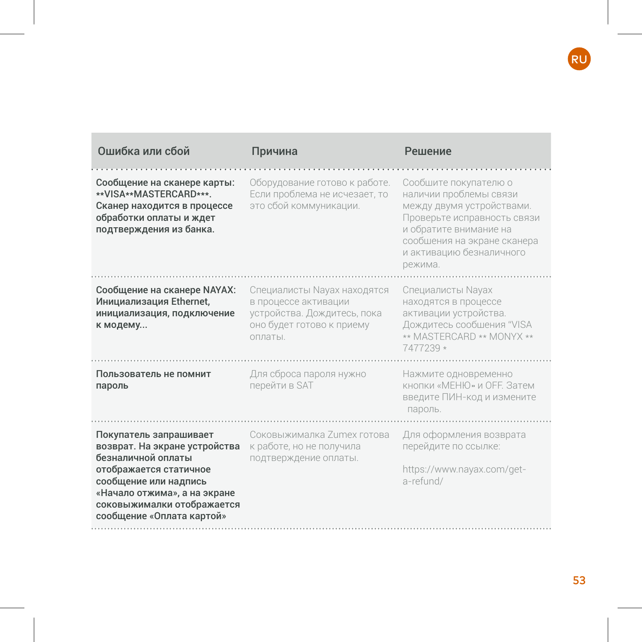| Ошибка или сбой                                                                                                                                                                                                             | Причина                                                                                                                    | Решение                                                                                                                                                                                                     |
|-----------------------------------------------------------------------------------------------------------------------------------------------------------------------------------------------------------------------------|----------------------------------------------------------------------------------------------------------------------------|-------------------------------------------------------------------------------------------------------------------------------------------------------------------------------------------------------------|
| Сообщение на сканере карты:<br>**VISA**MASTERCARD***.<br>Сканер находится в процессе<br>обработки оплаты и ждет<br>подтверждения из банка.                                                                                  | Оборудование готово к работе.<br>Если проблема не исчезает, то<br>это сбой коммуникации.                                   | Сообшите покупателю о<br>наличии проблемы связи<br>между двумя устройствами.<br>Проверьте исправность связи<br>и обратите внимание на<br>сообшения на экране сканера<br>и активацию безналичного<br>режима. |
| Сообщение на сканере NAYAX:<br>Инициализация Ethernet,<br>инициализация, подключение<br>к модему                                                                                                                            | Специалисты Nayax находятся<br>в процессе активации<br>устройства. Дождитесь, пока<br>оно будет готово к приему<br>оплаты. | Специалисты Nayax<br>находятся в процессе<br>активации устройства.<br>Дождитесь сообшения "VISA<br>** MASTERCARD ** MONYX **<br>7477239 *                                                                   |
| Пользователь не помнит<br>пароль                                                                                                                                                                                            | Для сброса пароля нужно<br>перейти в SAT                                                                                   | Нажмите одновременно<br>кнопки «МЕНЮ» и ОЕЕ, Затем<br>введите ПИН-код и измените<br>пароль.                                                                                                                 |
| Покупатель запрашивает<br>возврат. На экране устройства<br>безналичной оплаты<br>отображается статичное<br>сообщение или надпись<br>«Начало отжима», а на экране<br>соковыжималки отображается<br>сообщение «Оплата картой» | Соковыжималка Zumex готова<br>к работе, но не получила<br>подтверждение оплаты.                                            | Для оформления возврата<br>перейдите по ссылке:<br>https://www.nayax.com/get-<br>a-refund/                                                                                                                  |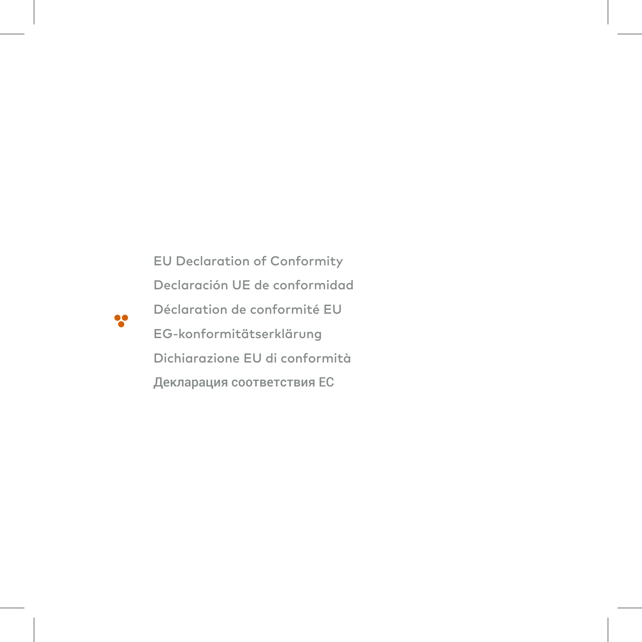EU Declaration of Conformity Declaración UE de conformidad Déclaration de conformité EU EG-konformitätserklärung Dichiarazione EU di conformità Декларация соответствия ЕС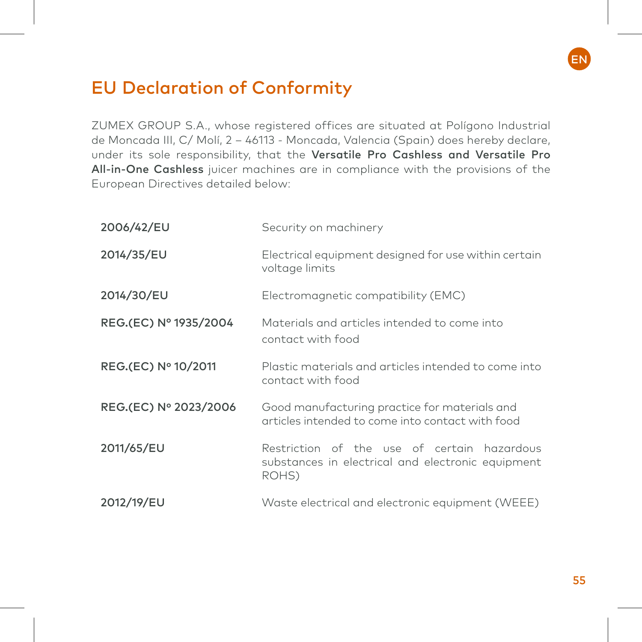## EU Declaration of Conformity

ZUMEX GROUP S.A., whose registered offices are situated at Polígono Industrial de Moncada III, C/ Molí, 2 – 46113 - Moncada, Valencia (Spain) does hereby declare, under its sole responsibility, that the Versatile Pro Cashless and Versatile Pro All-in-One Cashless juicer machines are in compliance with the provisions of the European Directives detailed below:

| 2006/42/EU            | Security on machinery                                                                                     |
|-----------------------|-----------------------------------------------------------------------------------------------------------|
| 2014/35/EU            | Electrical equipment designed for use within certain<br>voltage limits                                    |
| 2014/30/EU            | Electromagnetic compatibility (EMC)                                                                       |
| REG.(EC) Nº 1935/2004 | Materials and articles intended to come into<br>contact with food                                         |
| REG.(EC) Nº 10/2011   | Plastic materials and articles intended to come into<br>contact with food                                 |
| REG.(EC) Nº 2023/2006 | Good manufacturing practice for materials and<br>articles intended to come into contact with food         |
| 2011/65/EU            | Restriction of the use of certain hazardous<br>substances in electrical and electronic equipment<br>ROHS) |
| 2012/19/EU            | Waste electrical and electronic equipment (WEEE)                                                          |

EN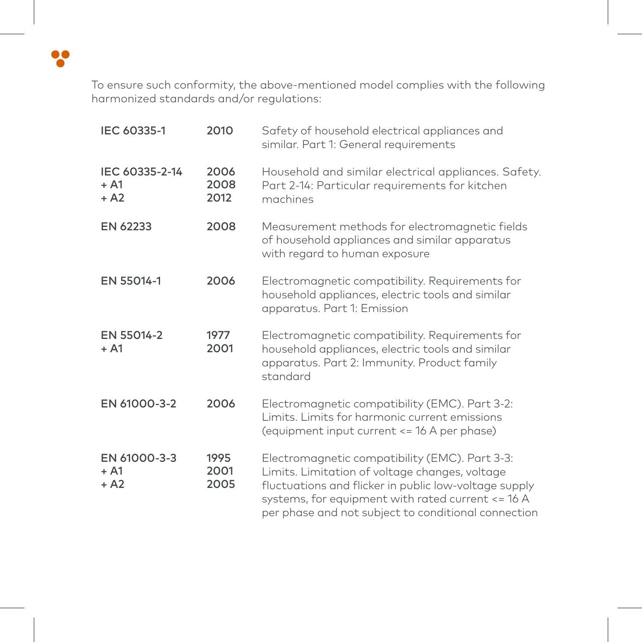To ensure such conformity, the above-mentioned model complies with the following harmonized standards and/or regulations:

| IEC 60335-1                        | 2010                 | Safety of household electrical appliances and<br>similar. Part 1: General requirements                                                                                                                                                                                |
|------------------------------------|----------------------|-----------------------------------------------------------------------------------------------------------------------------------------------------------------------------------------------------------------------------------------------------------------------|
| IEC 60335-2-14<br>$+ A1$<br>$+ A2$ | 2006<br>2008<br>2012 | Household and similar electrical appliances. Safety.<br>Part 2-14: Particular requirements for kitchen<br>machines                                                                                                                                                    |
| EN 62233                           | 2008                 | Measurement methods for electromagnetic fields<br>of household appliances and similar apparatus<br>with regard to human exposure                                                                                                                                      |
| EN 55014-1                         | 2006                 | Electromagnetic compatibility. Requirements for<br>household appliances, electric tools and similar<br>apparatus. Part 1: Emission                                                                                                                                    |
| EN 55014-2<br>$+ A1$               | 1977<br>2001         | Electromagnetic compatibility. Requirements for<br>household appliances, electric tools and similar<br>apparatus. Part 2: Immunity. Product family<br>standard                                                                                                        |
| EN 61000-3-2                       | 2006                 | Electromagnetic compatibility (EMC). Part 3-2:<br>Limits. Limits for harmonic current emissions<br>(equipment input current <= 16 A per phase)                                                                                                                        |
| EN 61000-3-3<br>$+ A1$<br>$+ A2$   | 1995<br>2001<br>2005 | Electromagnetic compatibility (EMC). Part 3-3:<br>Limits. Limitation of voltage changes, voltage<br>fluctuations and flicker in public low-voltage supply<br>systems, for equipment with rated current <= 16 A<br>per phase and not subject to conditional connection |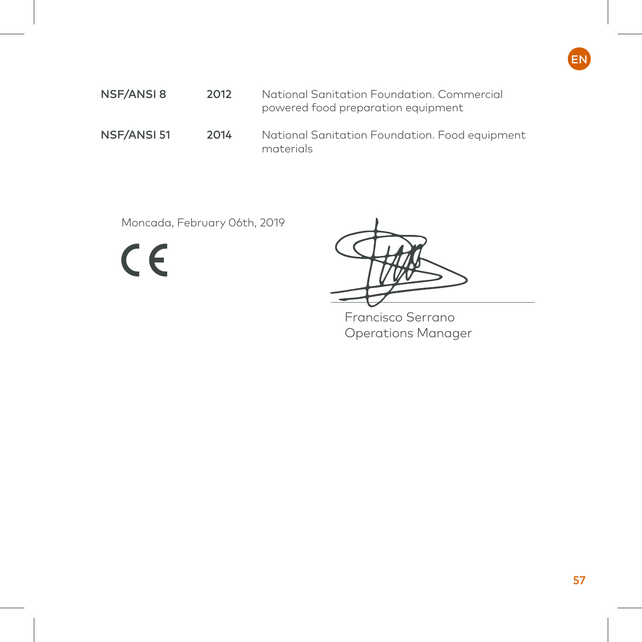NSF/ANSI 8 2012 National Sanitation Foundation. Commercial powered food preparation equipment NSF/ANSI 51 2014 National Sanitation Foundation. Food equipment materials

Moncada, February 06th, 2019

 $C \in$ 



Francisco Serrano Operations Manager

EN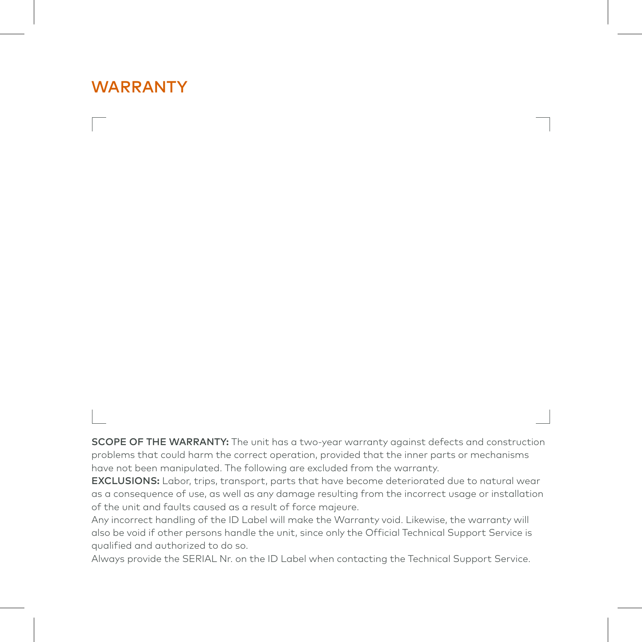#### **WARRANTY**

SCOPE OF THE WARRANTY: The unit has a two-year warranty against defects and construction problems that could harm the correct operation, provided that the inner parts or mechanisms have not been manipulated. The following are excluded from the warranty.

EXCLUSIONS: Labor, trips, transport, parts that have become deteriorated due to natural wear as a consequence of use, as well as any damage resulting from the incorrect usage or installation of the unit and faults caused as a result of force majeure.

Any incorrect handling of the ID Label will make the Warranty void. Likewise, the warranty will also be void if other persons handle the unit, since only the Official Technical Support Service is qualified and authorized to do so.

Always provide the SERIAL Nr. on the ID Label when contacting the Technical Support Service.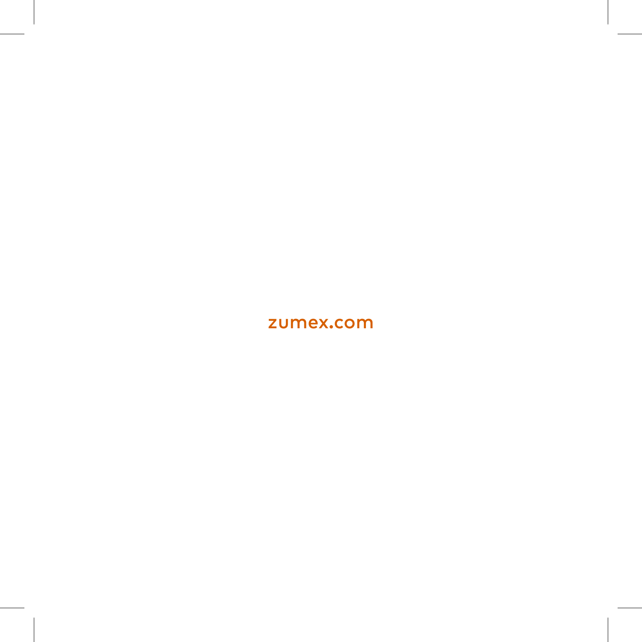zumex.com